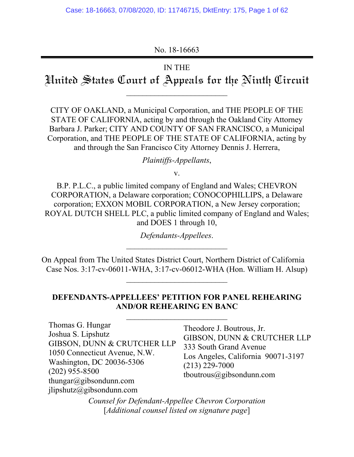No. 18-16663

# IN THE

Hnited States Court of Appeals for the Ninth Circuit

\_\_\_\_\_\_\_\_\_\_\_\_\_\_\_\_\_\_\_\_\_\_\_\_\_

CITY OF OAKLAND, a Municipal Corporation, and THE PEOPLE OF THE STATE OF CALIFORNIA, acting by and through the Oakland City Attorney Barbara J. Parker; CITY AND COUNTY OF SAN FRANCISCO, a Municipal Corporation, and THE PEOPLE OF THE STATE OF CALIFORNIA, acting by and through the San Francisco City Attorney Dennis J. Herrera,

*Plaintiffs-Appellants*,

v.

B.P. P.L.C., a public limited company of England and Wales; CHEVRON CORPORATION, a Delaware corporation; CONOCOPHILLIPS, a Delaware corporation; EXXON MOBIL CORPORATION, a New Jersey corporation; ROYAL DUTCH SHELL PLC, a public limited company of England and Wales; and DOES 1 through 10,

> *Defendants-Appellees*. \_\_\_\_\_\_\_\_\_\_\_\_\_\_\_\_\_\_\_\_\_\_\_\_\_

On Appeal from The United States District Court, Northern District of California Case Nos. 3:17-cv-06011-WHA, 3:17-cv-06012-WHA (Hon. William H. Alsup)

# **DEFENDANTS-APPELLEES' PETITION FOR PANEL REHEARING AND/OR REHEARING EN BANC**

\_\_\_\_\_\_\_\_\_\_\_\_\_\_\_\_\_\_\_\_\_\_\_\_\_

Thomas G. Hungar Joshua S. Lipshutz GIBSON, DUNN & CRUTCHER LLP 1050 Connecticut Avenue, N.W. Washington, DC 20036-5306 (202) 955-8500 thungar@gibsondunn.com jlipshutz@gibsondunn.com

Theodore J. Boutrous, Jr. GIBSON, DUNN & CRUTCHER LLP 333 South Grand Avenue Los Angeles, California 90071-3197 (213) 229-7000 tboutrous@gibsondunn.com

*Counsel for Defendant-Appellee Chevron Corporation*  [*Additional counsel listed on signature page*]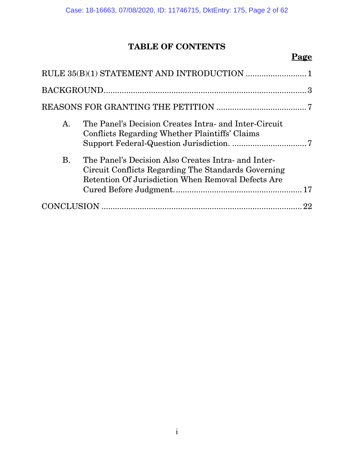# **TABLE OF CONTENTS**

# **Page**

| А.        | The Panel's Decision Creates Intra- and Inter-Circuit<br>Conflicts Regarding Whether Plaintiffs' Claims                                                          |  |
|-----------|------------------------------------------------------------------------------------------------------------------------------------------------------------------|--|
| <b>B.</b> | The Panel's Decision Also Creates Intra- and Inter-<br>Circuit Conflicts Regarding The Standards Governing<br>Retention Of Jurisdiction When Removal Defects Are |  |
|           |                                                                                                                                                                  |  |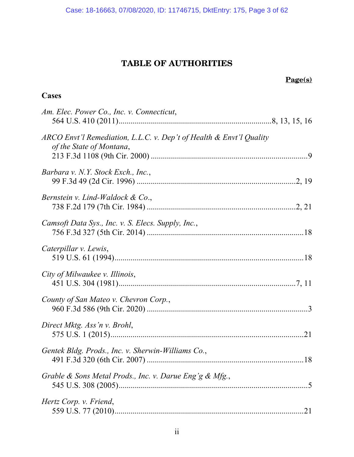# **TABLE OF AUTHORITIES**

# **Page(s)**

# **Cases**

| Am. Elec. Power Co., Inc. v. Connecticut,                                                       |
|-------------------------------------------------------------------------------------------------|
| ARCO Envt'l Remediation, L.L.C. v. Dep't of Health & Envt'l Quality<br>of the State of Montana, |
| Barbara v. N.Y. Stock Exch., Inc.,                                                              |
| Bernstein v. Lind-Waldock & Co.,                                                                |
| Camsoft Data Sys., Inc. v. S. Elecs. Supply, Inc.,                                              |
| Caterpillar v. Lewis,                                                                           |
| City of Milwaukee v. Illinois,                                                                  |
| County of San Mateo v. Chevron Corp.,                                                           |
| Direct Mktg. Ass'n v. Brohl,                                                                    |
| Gentek Bldg. Prods., Inc. v. Sherwin-Williams Co.,                                              |
| Grable & Sons Metal Prods., Inc. v. Darue Eng'g & Mfg.,                                         |
| Hertz Corp. v. Friend,<br>.21                                                                   |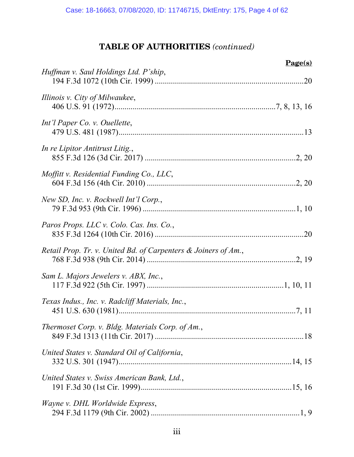# **TABLE OF AUTHORITIES** *(continued)*

| $Page(s)$                                                      |  |
|----------------------------------------------------------------|--|
| Huffman v. Saul Holdings Ltd. P'ship,                          |  |
| Illinois v. City of Milwaukee,                                 |  |
| Int'l Paper Co. v. Ouellette,                                  |  |
| In re Lipitor Antitrust Litig.,                                |  |
| Moffitt v. Residential Funding Co., LLC,                       |  |
| New SD, Inc. v. Rockwell Int'l Corp.,                          |  |
| Paros Props. LLC v. Colo. Cas. Ins. Co.,                       |  |
| Retail Prop. Tr. v. United Bd. of Carpenters & Joiners of Am., |  |
| Sam L. Majors Jewelers v. ABX, Inc.,                           |  |
| Texas Indus., Inc. v. Radcliff Materials, Inc.,                |  |
| Thermoset Corp. v. Bldg. Materials Corp. of Am.,               |  |
| United States v. Standard Oil of California,                   |  |
| United States v. Swiss American Bank, Ltd.,                    |  |
| Wayne v. DHL Worldwide Express,                                |  |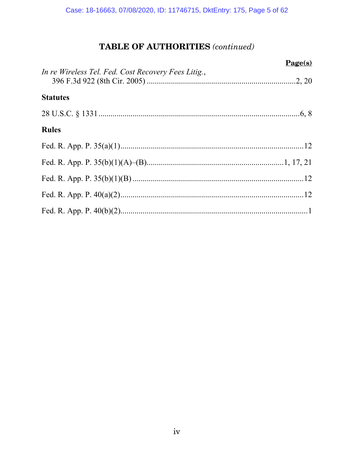# **TABLE OF AUTHORITIES** (continued)

|                                                     | $Page(s)$ |
|-----------------------------------------------------|-----------|
| In re Wireless Tel. Fed. Cost Recovery Fees Litig., |           |
| <b>Statutes</b>                                     |           |
|                                                     |           |
| <b>Rules</b>                                        |           |
|                                                     |           |
|                                                     |           |
|                                                     |           |
|                                                     |           |
|                                                     |           |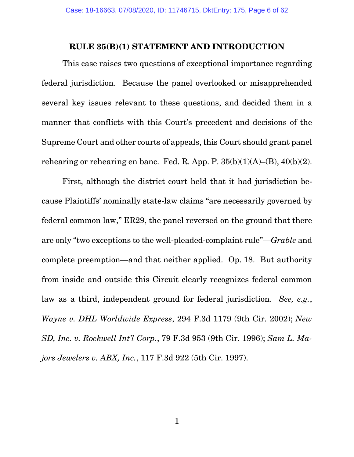## **RULE 35(B)(1) STATEMENT AND INTRODUCTION**

This case raises two questions of exceptional importance regarding federal jurisdiction. Because the panel overlooked or misapprehended several key issues relevant to these questions, and decided them in a manner that conflicts with this Court's precedent and decisions of the Supreme Court and other courts of appeals, this Court should grant panel rehearing or rehearing en banc. Fed. R. App. P.  $35(b)(1)(A)$ – $(B)$ ,  $40(b)(2)$ .

First, although the district court held that it had jurisdiction because Plaintiffs' nominally state-law claims "are necessarily governed by federal common law," ER29, the panel reversed on the ground that there are only "two exceptions to the well-pleaded-complaint rule"—*Grable* and complete preemption—and that neither applied. Op. 18. But authority from inside and outside this Circuit clearly recognizes federal common law as a third, independent ground for federal jurisdiction. *See, e.g.*, *Wayne v. DHL Worldwide Express*, 294 F.3d 1179 (9th Cir. 2002); *New SD, Inc. v. Rockwell Int'l Corp.*, 79 F.3d 953 (9th Cir. 1996); *Sam L. Majors Jewelers v. ABX, Inc.*, 117 F.3d 922 (5th Cir. 1997).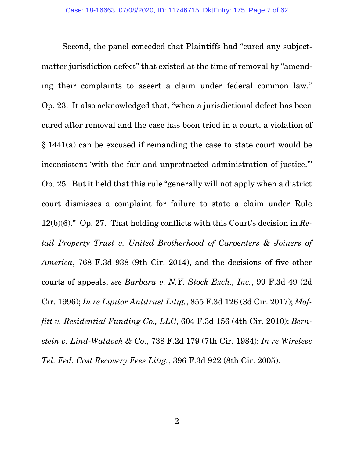Second, the panel conceded that Plaintiffs had "cured any subjectmatter jurisdiction defect" that existed at the time of removal by "amending their complaints to assert a claim under federal common law." Op. 23. It also acknowledged that, "when a jurisdictional defect has been cured after removal and the case has been tried in a court, a violation of § 1441(a) can be excused if remanding the case to state court would be inconsistent 'with the fair and unprotracted administration of justice.'" Op. 25. But it held that this rule "generally will not apply when a district court dismisses a complaint for failure to state a claim under Rule 12(b)(6)." Op. 27. That holding conflicts with this Court's decision in *Retail Property Trust v. United Brotherhood of Carpenters & Joiners of America*, 768 F.3d 938 (9th Cir. 2014), and the decisions of five other courts of appeals, *see Barbara v. N.Y. Stock Exch., Inc.*, 99 F.3d 49 (2d Cir. 1996); *In re Lipitor Antitrust Litig.*, 855 F.3d 126 (3d Cir. 2017); *Moffitt v. Residential Funding Co., LLC*, 604 F.3d 156 (4th Cir. 2010); *Bernstein v. Lind-Waldock & Co*., 738 F.2d 179 (7th Cir. 1984); *In re Wireless Tel. Fed. Cost Recovery Fees Litig.*, 396 F.3d 922 (8th Cir. 2005).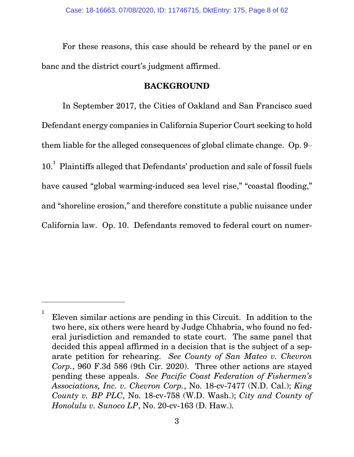For these reasons, this case should be reheard by the panel or en banc and the district court's judgment affirmed.

# **BACKGROUND**

In September 2017, the Cities of Oakland and San Francisco sued Defendant energy companies in California Superior Court seeking to hold them liable for the alleged consequences of global climate change. Op. 9– 10.<sup>1</sup> Plaintiffs alleged that Defendants' production and sale of fossil fuels have caused "global warming-induced sea level rise," "coastal flooding," and "shoreline erosion," and therefore constitute a public nuisance under California law. Op. 10. Defendants removed to federal court on numer-

 $\overline{a}$ 

<sup>1</sup> Eleven similar actions are pending in this Circuit. In addition to the two here, six others were heard by Judge Chhabria, who found no federal jurisdiction and remanded to state court. The same panel that decided this appeal affirmed in a decision that is the subject of a separate petition for rehearing. *See County of San Mateo v. Chevron Corp.*, 960 F.3d 586 (9th Cir. 2020). Three other actions are stayed pending these appeals. *See Pacific Coast Federation of Fishermen's Associations, Inc. v. Chevron Corp.*, No. 18-cv-7477 (N.D. Cal.); *King County v. BP PLC*, No. 18-cv-758 (W.D. Wash.); *City and County of Honolulu v. Sunoco LP*, No. 20-cv-163 (D. Haw.)*.*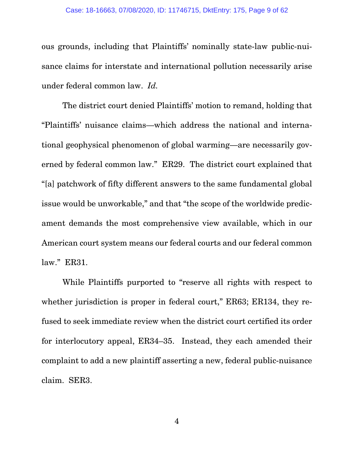ous grounds, including that Plaintiffs' nominally state-law public-nuisance claims for interstate and international pollution necessarily arise under federal common law. *Id.*

The district court denied Plaintiffs' motion to remand, holding that "Plaintiffs' nuisance claims—which address the national and international geophysical phenomenon of global warming—are necessarily governed by federal common law." ER29. The district court explained that "[a] patchwork of fifty different answers to the same fundamental global issue would be unworkable," and that "the scope of the worldwide predicament demands the most comprehensive view available, which in our American court system means our federal courts and our federal common law." ER31.

While Plaintiffs purported to "reserve all rights with respect to whether jurisdiction is proper in federal court," ER63; ER134, they refused to seek immediate review when the district court certified its order for interlocutory appeal, ER34–35. Instead, they each amended their complaint to add a new plaintiff asserting a new, federal public-nuisance claim. SER3.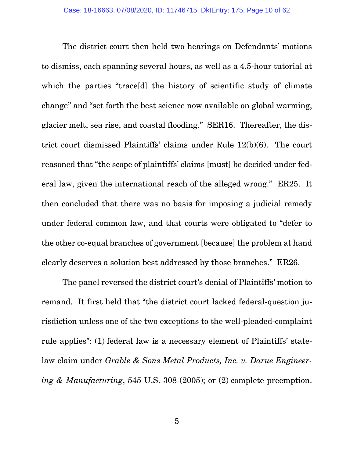The district court then held two hearings on Defendants' motions to dismiss, each spanning several hours, as well as a 4.5-hour tutorial at which the parties "trace<sup>[d]</sup> the history of scientific study of climate change" and "set forth the best science now available on global warming, glacier melt, sea rise, and coastal flooding." SER16. Thereafter, the district court dismissed Plaintiffs' claims under Rule 12(b)(6). The court reasoned that "the scope of plaintiffs' claims [must] be decided under federal law, given the international reach of the alleged wrong." ER25. It then concluded that there was no basis for imposing a judicial remedy under federal common law, and that courts were obligated to "defer to the other co-equal branches of government [because] the problem at hand clearly deserves a solution best addressed by those branches." ER26.

The panel reversed the district court's denial of Plaintiffs' motion to remand. It first held that "the district court lacked federal-question jurisdiction unless one of the two exceptions to the well-pleaded-complaint rule applies": (1) federal law is a necessary element of Plaintiffs' statelaw claim under *Grable & Sons Metal Products, Inc. v. Darue Engineering & Manufacturing*, 545 U.S. 308 (2005); or (2) complete preemption.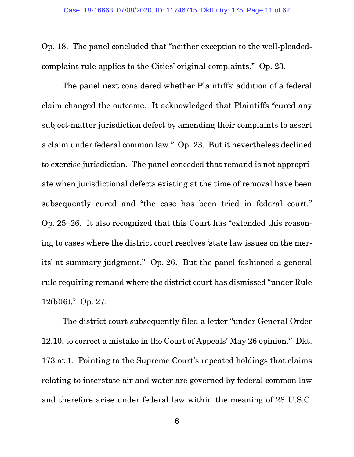Op. 18. The panel concluded that "neither exception to the well-pleadedcomplaint rule applies to the Cities' original complaints." Op. 23.

The panel next considered whether Plaintiffs' addition of a federal claim changed the outcome. It acknowledged that Plaintiffs "cured any subject-matter jurisdiction defect by amending their complaints to assert a claim under federal common law." Op. 23. But it nevertheless declined to exercise jurisdiction. The panel conceded that remand is not appropriate when jurisdictional defects existing at the time of removal have been subsequently cured and "the case has been tried in federal court." Op. 25–26. It also recognized that this Court has "extended this reasoning to cases where the district court resolves 'state law issues on the merits' at summary judgment." Op. 26. But the panel fashioned a general rule requiring remand where the district court has dismissed "under Rule 12(b)(6)." Op. 27.

The district court subsequently filed a letter "under General Order 12.10, to correct a mistake in the Court of Appeals' May 26 opinion." Dkt. 173 at 1. Pointing to the Supreme Court's repeated holdings that claims relating to interstate air and water are governed by federal common law and therefore arise under federal law within the meaning of 28 U.S.C.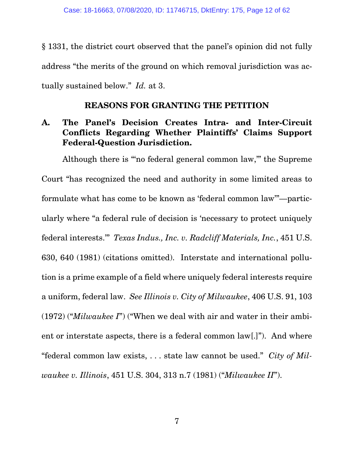§ 1331, the district court observed that the panel's opinion did not fully address "the merits of the ground on which removal jurisdiction was actually sustained below." *Id.* at 3.

# **REASONS FOR GRANTING THE PETITION**

# **A. The Panel's Decision Creates Intra- and Inter-Circuit Conflicts Regarding Whether Plaintiffs' Claims Support Federal-Question Jurisdiction.**

Although there is "'no federal general common law,'" the Supreme Court "has recognized the need and authority in some limited areas to formulate what has come to be known as 'federal common law'"—particularly where "a federal rule of decision is 'necessary to protect uniquely federal interests.'" *Texas Indus., Inc. v. Radcliff Materials, Inc.*, 451 U.S. 630, 640 (1981) (citations omitted). Interstate and international pollution is a prime example of a field where uniquely federal interests require a uniform, federal law. *See Illinois v. City of Milwaukee*, 406 U.S. 91, 103 (1972) ("*Milwaukee I*") ("When we deal with air and water in their ambient or interstate aspects, there is a federal common law[.]"). And where "federal common law exists, . . . state law cannot be used." *City of Milwaukee v. Illinois*, 451 U.S. 304, 313 n.7 (1981) ("*Milwaukee II*").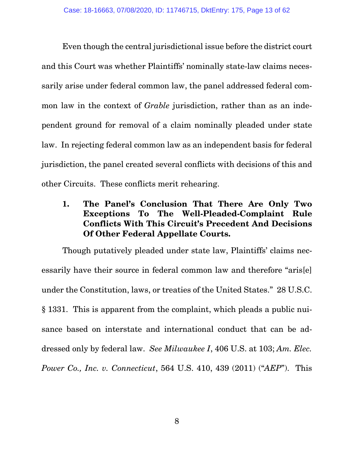Even though the central jurisdictional issue before the district court and this Court was whether Plaintiffs' nominally state-law claims necessarily arise under federal common law, the panel addressed federal common law in the context of *Grable* jurisdiction, rather than as an independent ground for removal of a claim nominally pleaded under state law. In rejecting federal common law as an independent basis for federal jurisdiction, the panel created several conflicts with decisions of this and other Circuits. These conflicts merit rehearing.

**1. The Panel's Conclusion That There Are Only Two Exceptions To The Well-Pleaded-Complaint Rule Conflicts With This Circuit's Precedent And Decisions Of Other Federal Appellate Courts.** 

Though putatively pleaded under state law, Plaintiffs' claims necessarily have their source in federal common law and therefore "aris[e] under the Constitution, laws, or treaties of the United States." 28 U.S.C. § 1331. This is apparent from the complaint, which pleads a public nuisance based on interstate and international conduct that can be addressed only by federal law. *See Milwaukee I*, 406 U.S. at 103; *Am. Elec. Power Co., Inc. v. Connecticut*, 564 U.S. 410, 439 (2011) ("*AEP*"). This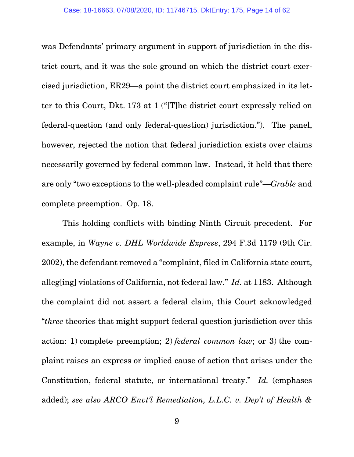was Defendants' primary argument in support of jurisdiction in the district court, and it was the sole ground on which the district court exercised jurisdiction, ER29—a point the district court emphasized in its letter to this Court, Dkt. 173 at 1 ("[T]he district court expressly relied on federal-question (and only federal-question) jurisdiction."). The panel, however, rejected the notion that federal jurisdiction exists over claims necessarily governed by federal common law. Instead, it held that there are only "two exceptions to the well-pleaded complaint rule"—*Grable* and complete preemption. Op. 18.

This holding conflicts with binding Ninth Circuit precedent. For example, in *Wayne v. DHL Worldwide Express*, 294 F.3d 1179 (9th Cir. 2002), the defendant removed a "complaint, filed in California state court, alleg[ing] violations of California, not federal law." *Id.* at 1183. Although the complaint did not assert a federal claim, this Court acknowledged "*three* theories that might support federal question jurisdiction over this action: 1) complete preemption; 2) *federal common law*; or 3) the complaint raises an express or implied cause of action that arises under the Constitution, federal statute, or international treaty." *Id.* (emphases added); *see also ARCO Envt'l Remediation, L.L.C. v. Dep't of Health &*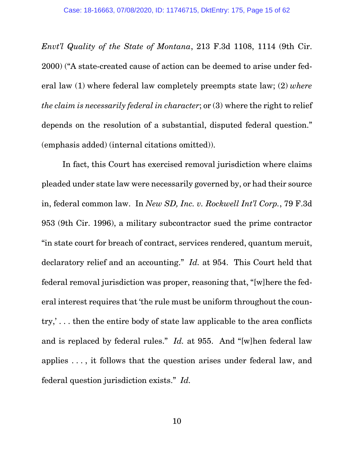*Envt'l Quality of the State of Montana*, 213 F.3d 1108, 1114 (9th Cir. 2000) ("A state-created cause of action can be deemed to arise under federal law (1) where federal law completely preempts state law; (2) *where the claim is necessarily federal in character*; or (3) where the right to relief depends on the resolution of a substantial, disputed federal question." (emphasis added) (internal citations omitted)).

In fact, this Court has exercised removal jurisdiction where claims pleaded under state law were necessarily governed by, or had their source in, federal common law. In *New SD, Inc. v. Rockwell Int'l Corp.*, 79 F.3d 953 (9th Cir. 1996), a military subcontractor sued the prime contractor "in state court for breach of contract, services rendered, quantum meruit, declaratory relief and an accounting." *Id.* at 954. This Court held that federal removal jurisdiction was proper, reasoning that, "[w]here the federal interest requires that 'the rule must be uniform throughout the country,' . . . then the entire body of state law applicable to the area conflicts and is replaced by federal rules." *Id.* at 955. And "[w]hen federal law applies . . . , it follows that the question arises under federal law, and federal question jurisdiction exists." *Id.*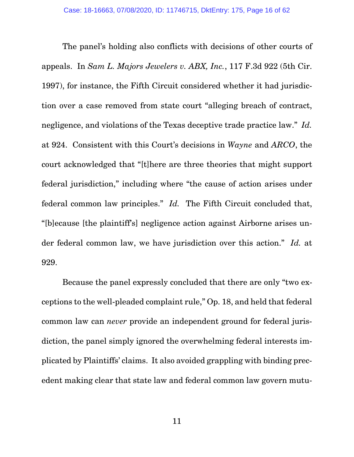The panel's holding also conflicts with decisions of other courts of appeals. In *Sam L. Majors Jewelers v. ABX, Inc.*, 117 F.3d 922 (5th Cir. 1997), for instance, the Fifth Circuit considered whether it had jurisdiction over a case removed from state court "alleging breach of contract, negligence, and violations of the Texas deceptive trade practice law." *Id.* at 924. Consistent with this Court's decisions in *Wayne* and *ARCO*, the court acknowledged that "[t]here are three theories that might support federal jurisdiction," including where "the cause of action arises under federal common law principles." *Id.* The Fifth Circuit concluded that, "[b]ecause [the plaintiff's] negligence action against Airborne arises under federal common law, we have jurisdiction over this action." *Id.* at 929.

Because the panel expressly concluded that there are only "two exceptions to the well-pleaded complaint rule," Op. 18, and held that federal common law can *never* provide an independent ground for federal jurisdiction, the panel simply ignored the overwhelming federal interests implicated by Plaintiffs' claims. It also avoided grappling with binding precedent making clear that state law and federal common law govern mutu-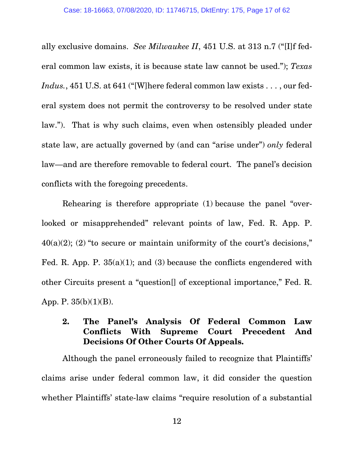ally exclusive domains. *See Milwaukee II*, 451 U.S. at 313 n.7 ("[I]f federal common law exists, it is because state law cannot be used."); *Texas Indus.*, 451 U.S. at 641 ("[W]here federal common law exists . . . , our federal system does not permit the controversy to be resolved under state law."). That is why such claims, even when ostensibly pleaded under state law, are actually governed by (and can "arise under") *only* federal law—and are therefore removable to federal court. The panel's decision conflicts with the foregoing precedents.

Rehearing is therefore appropriate (1) because the panel "overlooked or misapprehended" relevant points of law, Fed. R. App. P.  $40(a)(2)$ ; (2) "to secure or maintain uniformity of the court's decisions," Fed. R. App. P.  $35(a)(1)$ ; and (3) because the conflicts engendered with other Circuits present a "question[] of exceptional importance," Fed. R. App. P. 35(b)(1)(B).

# **2. The Panel's Analysis Of Federal Common Law Conflicts With Supreme Court Precedent And Decisions Of Other Courts Of Appeals.**

Although the panel erroneously failed to recognize that Plaintiffs' claims arise under federal common law, it did consider the question whether Plaintiffs' state-law claims "require resolution of a substantial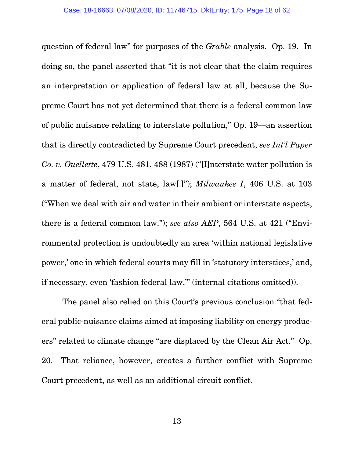question of federal law" for purposes of the *Grable* analysis. Op. 19. In doing so, the panel asserted that "it is not clear that the claim requires an interpretation or application of federal law at all, because the Supreme Court has not yet determined that there is a federal common law of public nuisance relating to interstate pollution," Op. 19—an assertion that is directly contradicted by Supreme Court precedent, *see Int'l Paper Co. v. Ouellette*, 479 U.S. 481, 488 (1987) ("[I]nterstate water pollution is a matter of federal, not state, law[.]"); *Milwaukee I*, 406 U.S. at 103 ("When we deal with air and water in their ambient or interstate aspects, there is a federal common law."); *see also AEP*, 564 U.S. at 421 ("Environmental protection is undoubtedly an area 'within national legislative power,' one in which federal courts may fill in 'statutory interstices,' and, if necessary, even 'fashion federal law.'" (internal citations omitted)).

The panel also relied on this Court's previous conclusion "that federal public-nuisance claims aimed at imposing liability on energy producers" related to climate change "are displaced by the Clean Air Act." Op. 20. That reliance, however, creates a further conflict with Supreme Court precedent, as well as an additional circuit conflict.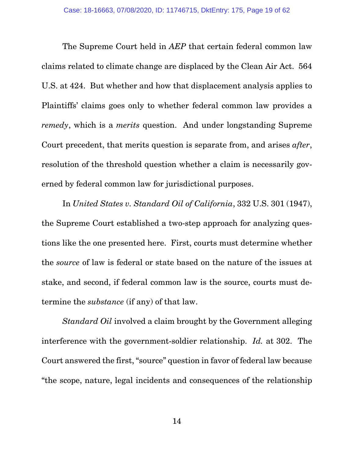The Supreme Court held in *AEP* that certain federal common law claims related to climate change are displaced by the Clean Air Act. 564 U.S. at 424. But whether and how that displacement analysis applies to Plaintiffs' claims goes only to whether federal common law provides a *remedy*, which is a *merits* question. And under longstanding Supreme Court precedent, that merits question is separate from, and arises *after*, resolution of the threshold question whether a claim is necessarily governed by federal common law for jurisdictional purposes.

In *United States v. Standard Oil of California*, 332 U.S. 301 (1947), the Supreme Court established a two-step approach for analyzing questions like the one presented here. First, courts must determine whether the *source* of law is federal or state based on the nature of the issues at stake, and second, if federal common law is the source, courts must determine the *substance* (if any) of that law.

*Standard Oil* involved a claim brought by the Government alleging interference with the government-soldier relationship. *Id.* at 302. The Court answered the first, "source" question in favor of federal law because "the scope, nature, legal incidents and consequences of the relationship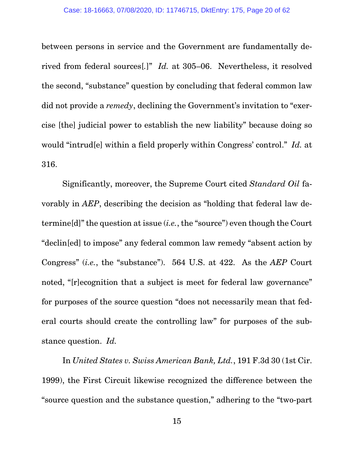between persons in service and the Government are fundamentally derived from federal sources[*.*]" *Id.* at 305–06. Nevertheless, it resolved the second, "substance" question by concluding that federal common law did not provide a *remedy*, declining the Government's invitation to "exercise [the] judicial power to establish the new liability" because doing so would "intrud[e] within a field properly within Congress' control." *Id.* at 316.

Significantly, moreover, the Supreme Court cited *Standard Oil* favorably in *AEP*, describing the decision as "holding that federal law determine[d]" the question at issue (*i.e.*, the "source") even though the Court "declin[ed] to impose" any federal common law remedy "absent action by Congress" (*i.e.*, the "substance"). 564 U.S. at 422. As the *AEP* Court noted, "[r]ecognition that a subject is meet for federal law governance" for purposes of the source question "does not necessarily mean that federal courts should create the controlling law" for purposes of the substance question. *Id.*

In *United States v. Swiss American Bank, Ltd.*, 191 F.3d 30 (1st Cir. 1999), the First Circuit likewise recognized the difference between the "source question and the substance question," adhering to the "two-part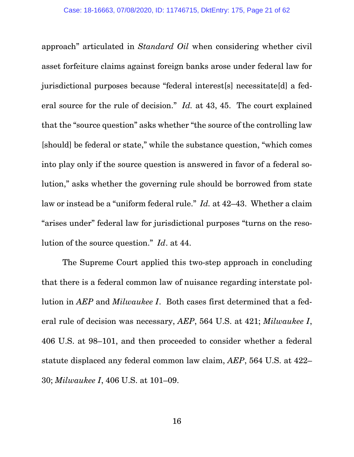approach" articulated in *Standard Oil* when considering whether civil asset forfeiture claims against foreign banks arose under federal law for jurisdictional purposes because "federal interest[s] necessitate[d] a federal source for the rule of decision." *Id.* at 43, 45. The court explained that the "source question" asks whether "the source of the controlling law [should] be federal or state," while the substance question, "which comes into play only if the source question is answered in favor of a federal solution," asks whether the governing rule should be borrowed from state law or instead be a "uniform federal rule." *Id.* at 42–43. Whether a claim "arises under" federal law for jurisdictional purposes "turns on the resolution of the source question." *Id*. at 44.

The Supreme Court applied this two-step approach in concluding that there is a federal common law of nuisance regarding interstate pollution in *AEP* and *Milwaukee I*. Both cases first determined that a federal rule of decision was necessary, *AEP*, 564 U.S. at 421; *Milwaukee I*, 406 U.S. at 98–101, and then proceeded to consider whether a federal statute displaced any federal common law claim, *AEP*, 564 U.S. at 422– 30; *Milwaukee I*, 406 U.S. at 101–09.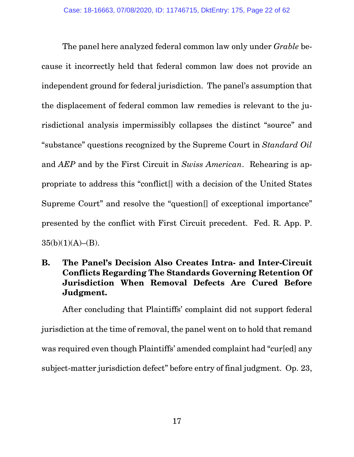The panel here analyzed federal common law only under *Grable* because it incorrectly held that federal common law does not provide an independent ground for federal jurisdiction. The panel's assumption that the displacement of federal common law remedies is relevant to the jurisdictional analysis impermissibly collapses the distinct "source" and "substance" questions recognized by the Supreme Court in *Standard Oil*  and *AEP* and by the First Circuit in *Swiss American*. Rehearing is appropriate to address this "conflict[] with a decision of the United States Supreme Court" and resolve the "question<sup>[]</sup> of exceptional importance" presented by the conflict with First Circuit precedent. Fed. R. App. P.  $35(b)(1)(A)–(B).$ 

**B. The Panel's Decision Also Creates Intra- and Inter-Circuit Conflicts Regarding The Standards Governing Retention Of Jurisdiction When Removal Defects Are Cured Before Judgment.** 

After concluding that Plaintiffs' complaint did not support federal jurisdiction at the time of removal, the panel went on to hold that remand was required even though Plaintiffs' amended complaint had "cur[ed] any subject-matter jurisdiction defect" before entry of final judgment. Op. 23,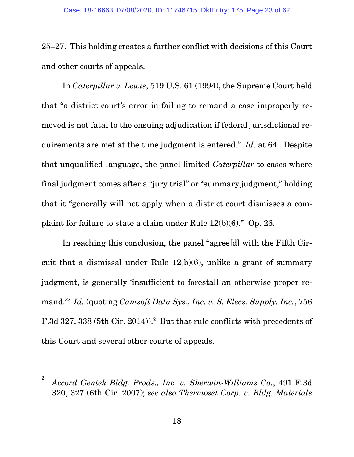25–27. This holding creates a further conflict with decisions of this Court and other courts of appeals.

In *Caterpillar v. Lewis*, 519 U.S. 61 (1994), the Supreme Court held that "a district court's error in failing to remand a case improperly removed is not fatal to the ensuing adjudication if federal jurisdictional requirements are met at the time judgment is entered." *Id.* at 64. Despite that unqualified language, the panel limited *Caterpillar* to cases where final judgment comes after a "jury trial" or "summary judgment," holding that it "generally will not apply when a district court dismisses a complaint for failure to state a claim under Rule 12(b)(6)." Op. 26.

In reaching this conclusion, the panel "agree[d] with the Fifth Circuit that a dismissal under Rule 12(b)(6), unlike a grant of summary judgment, is generally 'insufficient to forestall an otherwise proper remand.'" *Id.* (quoting *Camsoft Data Sys., Inc. v. S. Elecs. Supply, Inc.*, 756 F.3d 327, 338 (5th Cir. 2014)).<sup>2</sup> But that rule conflicts with precedents of this Court and several other courts of appeals.

 $\overline{a}$ 

<sup>2</sup> *Accord Gentek Bldg. Prods., Inc. v. Sherwin-Williams Co.*, 491 F.3d 320, 327 (6th Cir. 2007); *see also Thermoset Corp. v. Bldg. Materials*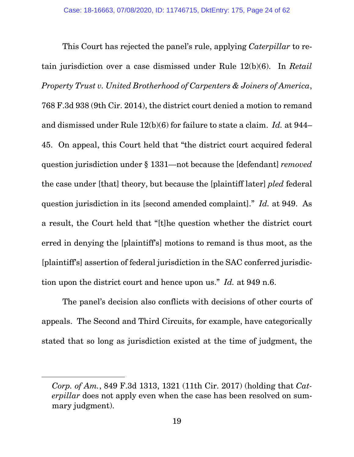This Court has rejected the panel's rule, applying *Caterpillar* to retain jurisdiction over a case dismissed under Rule 12(b)(6). In *Retail Property Trust v. United Brotherhood of Carpenters & Joiners of America*, 768 F.3d 938 (9th Cir. 2014), the district court denied a motion to remand and dismissed under Rule 12(b)(6) for failure to state a claim. *Id.* at 944– 45. On appeal, this Court held that "the district court acquired federal question jurisdiction under § 1331—not because the [defendant] *removed*  the case under [that] theory, but because the [plaintiff later] *pled* federal question jurisdiction in its [second amended complaint]." *Id.* at 949. As a result, the Court held that "[t]he question whether the district court erred in denying the [plaintiff's] motions to remand is thus moot, as the [plaintiff's] assertion of federal jurisdiction in the SAC conferred jurisdiction upon the district court and hence upon us." *Id.* at 949 n.6.

The panel's decision also conflicts with decisions of other courts of appeals. The Second and Third Circuits, for example, have categorically stated that so long as jurisdiction existed at the time of judgment, the

-

*Corp. of Am.*, 849 F.3d 1313, 1321 (11th Cir. 2017) (holding that *Caterpillar* does not apply even when the case has been resolved on summary judgment).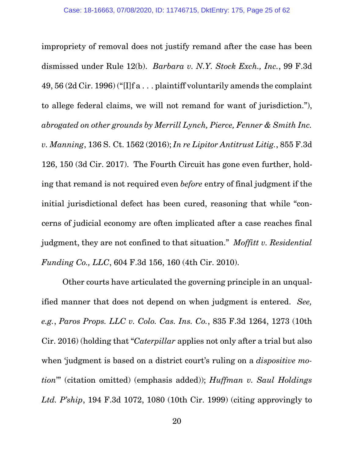impropriety of removal does not justify remand after the case has been dismissed under Rule 12(b). *Barbara v. N.Y. Stock Exch., Inc.*, 99 F.3d 49, 56 (2d Cir. 1996) ("[I]f a . . . plaintiff voluntarily amends the complaint to allege federal claims, we will not remand for want of jurisdiction."), *abrogated on other grounds by Merrill Lynch, Pierce, Fenner & Smith Inc. v. Manning*, 136 S. Ct. 1562 (2016); *In re Lipitor Antitrust Litig.*, 855 F.3d 126, 150 (3d Cir. 2017). The Fourth Circuit has gone even further, holding that remand is not required even *before* entry of final judgment if the initial jurisdictional defect has been cured, reasoning that while "concerns of judicial economy are often implicated after a case reaches final judgment, they are not confined to that situation." *Moffitt v. Residential Funding Co., LLC*, 604 F.3d 156, 160 (4th Cir. 2010).

Other courts have articulated the governing principle in an unqualified manner that does not depend on when judgment is entered. *See, e.g.*, *Paros Props. LLC v. Colo. Cas. Ins. Co.*, 835 F.3d 1264, 1273 (10th Cir. 2016) (holding that "*Caterpillar* applies not only after a trial but also when 'judgment is based on a district court's ruling on a *dispositive motion*'" (citation omitted) (emphasis added)); *Huffman v. Saul Holdings Ltd. P'ship*, 194 F.3d 1072, 1080 (10th Cir. 1999) (citing approvingly to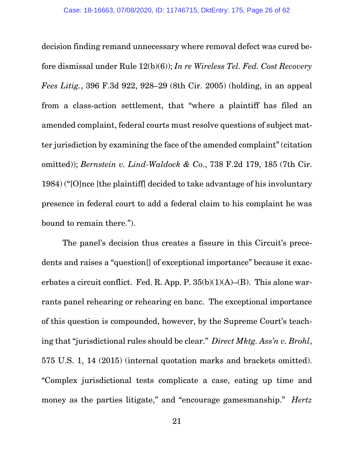decision finding remand unnecessary where removal defect was cured before dismissal under Rule 12(b)(6)); *In re Wireless Tel. Fed. Cost Recovery Fees Litig.*, 396 F.3d 922, 928–29 (8th Cir. 2005) (holding, in an appeal from a class-action settlement, that "where a plaintiff has filed an amended complaint, federal courts must resolve questions of subject matter jurisdiction by examining the face of the amended complaint" (citation omitted)); *Bernstein v. Lind-Waldock & Co*., 738 F.2d 179, 185 (7th Cir. 1984) ("[O]nce [the plaintiff] decided to take advantage of his involuntary presence in federal court to add a federal claim to his complaint he was bound to remain there.").

The panel's decision thus creates a fissure in this Circuit's precedents and raises a "question[] of exceptional importance" because it exacerbates a circuit conflict. Fed. R. App. P.  $35(b)(1)(A)$ –(B). This alone warrants panel rehearing or rehearing en banc. The exceptional importance of this question is compounded, however, by the Supreme Court's teaching that "jurisdictional rules should be clear." *Direct Mktg. Ass'n v. Brohl*, 575 U.S. 1, 14 (2015) (internal quotation marks and brackets omitted). "Complex jurisdictional tests complicate a case, eating up time and money as the parties litigate," and "encourage gamesmanship." *Hertz*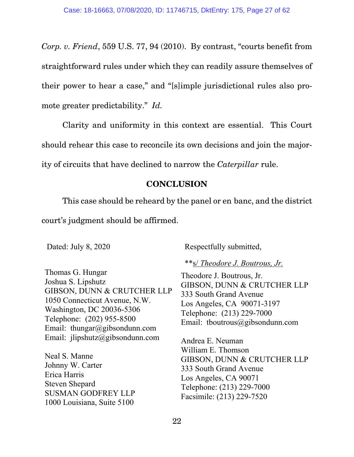*Corp. v. Friend*, 559 U.S. 77, 94 (2010). By contrast, "courts benefit from straightforward rules under which they can readily assure themselves of their power to hear a case," and "[s]imple jurisdictional rules also promote greater predictability." *Id.*

Clarity and uniformity in this context are essential. This Court should rehear this case to reconcile its own decisions and join the majority of circuits that have declined to narrow the *Caterpillar* rule.

# **CONCLUSION**

This case should be reheard by the panel or en banc, and the district court's judgment should be affirmed.

Dated: July 8, 2020 Respectfully submitted,

Thomas G. Hungar Joshua S. Lipshutz GIBSON, DUNN & CRUTCHER LLP 1050 Connecticut Avenue, N.W. Washington, DC 20036-5306 Telephone: (202) 955-8500 Email: thungar@gibsondunn.com Email: jlipshutz@gibsondunn.com

Neal S. Manne Johnny W. Carter Erica Harris Steven Shepard SUSMAN GODFREY LLP 1000 Louisiana, Suite 5100

# \*\*s/ *Theodore J. Boutrous, Jr.*

Theodore J. Boutrous, Jr. GIBSON, DUNN & CRUTCHER LLP 333 South Grand Avenue Los Angeles, CA 90071-3197 Telephone: (213) 229-7000 Email: tboutrous@gibsondunn.com

Andrea E. Neuman William E. Thomson GIBSON, DUNN & CRUTCHER LLP 333 South Grand Avenue Los Angeles, CA 90071 Telephone: (213) 229-7000 Facsimile: (213) 229-7520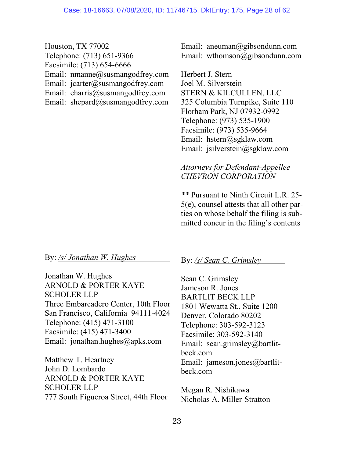Houston, TX 77002 Telephone: (713) 651-9366 Facsimile: (713) 654-6666 Email: nmanne@susmangodfrey.com Email: jcarter@susmangodfrey.com Email: eharris@susmangodfrey.com Email: shepard@susmangodfrey.com

Email: aneuman@gibsondunn.com Email: wthomson@gibsondunn.com

Herbert J. Stern Joel M. Silverstein STERN & KILCULLEN, LLC 325 Columbia Turnpike, Suite 110 Florham Park, NJ 07932-0992 Telephone: (973) 535-1900 Facsimile: (973) 535-9664 Email: hstern@sgklaw.com Email: jsilverstein@sgklaw.com

*Attorneys for Defendant-Appellee CHEVRON CORPORATION*

*\*\** Pursuant to Ninth Circuit L.R. 25- 5(e), counsel attests that all other parties on whose behalf the filing is submitted concur in the filing's contents

By: */s/ Jonathan W. Hughes*

Jonathan W. Hughes ARNOLD & PORTER KAYE SCHOLER LLP Three Embarcadero Center, 10th Floor San Francisco, California 94111-4024 Telephone: (415) 471-3100 Facsimile: (415) 471-3400 Email: jonathan.hughes@apks.com

Matthew T. Heartney John D. Lombardo ARNOLD & PORTER KAYE SCHOLER LLP 777 South Figueroa Street, 44th Floor By: */s/ Sean C. Grimsley*

Sean C. Grimsley Jameson R. Jones BARTLIT BECK LLP 1801 Wewatta St., Suite 1200 Denver, Colorado 80202 Telephone: 303-592-3123 Facsimile: 303-592-3140 Email: sean.grimsley@bartlitbeck.com Email: jameson.jones@bartlitbeck.com

Megan R. Nishikawa Nicholas A. Miller-Stratton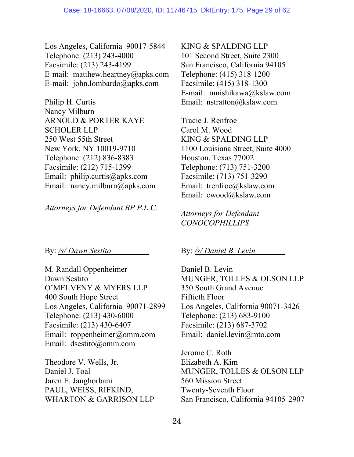Los Angeles, California 90017-5844 Telephone: (213) 243-4000 Facsimile: (213) 243-4199 E-mail: matthew.heartney@apks.com E-mail: john.lombardo@apks.com

Philip H. Curtis Nancy Milburn ARNOLD & PORTER KAYE SCHOLER LLP 250 West 55th Street New York, NY 10019-9710 Telephone: (212) 836-8383 Facsimile: (212) 715-1399 Email: philip.curtis@apks.com Email: nancy.milburn@apks.com

*Attorneys for Defendant BP P.L.C.*

By: */s/ Dawn Sestito*

M. Randall Oppenheimer Dawn Sestito O'MELVENY & MYERS LLP 400 South Hope Street Los Angeles, California 90071-2899 Telephone: (213) 430-6000 Facsimile: (213) 430-6407 Email: roppenheimer@omm.com Email: dsestito@omm.com

Theodore V. Wells, Jr. Daniel J. Toal Jaren E. Janghorbani PAUL, WEISS, RIFKIND, WHARTON & GARRISON LLP KING & SPALDING LLP 101 Second Street, Suite 2300 San Francisco, California 94105 Telephone: (415) 318-1200 Facsimile: (415) 318-1300 E-mail: mnishikawa@kslaw.com Email: nstratton@kslaw.com

Tracie J. Renfroe Carol M. Wood KING & SPALDING LLP 1100 Louisiana Street, Suite 4000 Houston, Texas 77002 Telephone: (713) 751-3200 Facsimile: (713) 751-3290 Email: trenfroe@kslaw.com Email: cwood@kslaw.com

*Attorneys for Defendant CONOCOPHILLIPS* 

# By: */s/ Daniel B. Levin*

Daniel B. Levin MUNGER, TOLLES & OLSON LLP 350 South Grand Avenue Fiftieth Floor Los Angeles, California 90071-3426 Telephone: (213) 683-9100 Facsimile: (213) 687-3702 Email: daniel.levin@mto.com

Jerome C. Roth Elizabeth A. Kim MUNGER, TOLLES & OLSON LLP 560 Mission Street Twenty-Seventh Floor San Francisco, California 94105-2907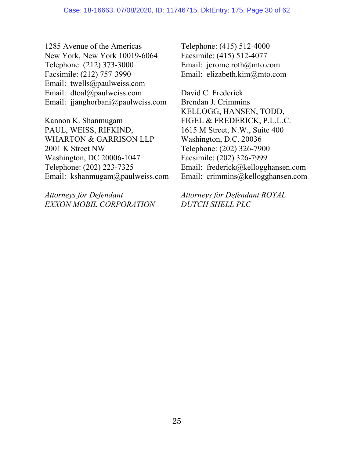1285 Avenue of the Americas New York, New York 10019-6064 Telephone: (212) 373-3000 Facsimile: (212) 757-3990 Email: twells@paulweiss.com Email: dtoal@paulweiss.com Email: jjanghorbani@paulweiss.com

Kannon K. Shanmugam PAUL, WEISS, RIFKIND, WHARTON & GARRISON LLP 2001 K Street NW Washington, DC 20006-1047 Telephone: (202) 223-7325 Email: kshanmugam@paulweiss.com

*Attorneys for Defendant EXXON MOBIL CORPORATION* Telephone: (415) 512-4000 Facsimile: (415) 512-4077 Email: jerome.roth@mto.com Email: elizabeth.kim@mto.com

David C. Frederick Brendan J. Crimmins KELLOGG, HANSEN, TODD, FIGEL & FREDERICK, P.L.L.C. 1615 M Street, N.W., Suite 400 Washington, D.C. 20036 Telephone: (202) 326-7900 Facsimile: (202) 326-7999 Email: frederick@kellogghansen.com Email: crimmins@kellogghansen.com

*Attorneys for Defendant ROYAL DUTCH SHELL PLC*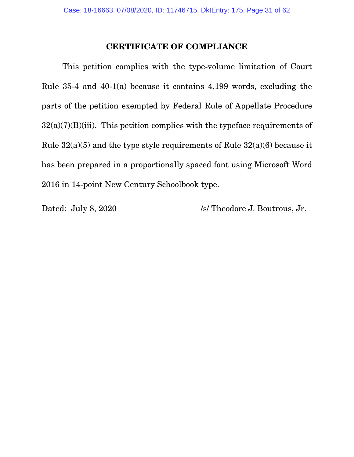# **CERTIFICATE OF COMPLIANCE**

This petition complies with the type-volume limitation of Court Rule 35-4 and 40-1(a) because it contains 4,199 words, excluding the parts of the petition exempted by Federal Rule of Appellate Procedure  $32(a)(7)(B)(iii)$ . This petition complies with the typeface requirements of Rule 32(a)(5) and the type style requirements of Rule 32(a)(6) because it has been prepared in a proportionally spaced font using Microsoft Word 2016 in 14-point New Century Schoolbook type.

Dated: July 8, 2020 /s/ Theodore J. Boutrous, Jr.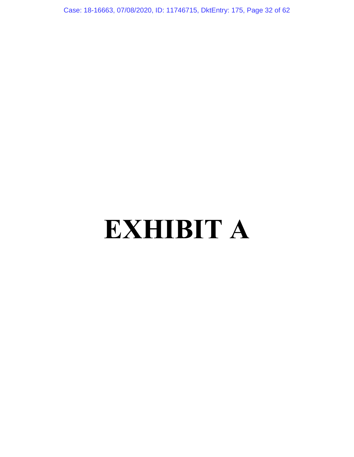Case: 18-16663, 07/08/2020, ID: 11746715, DktEntry: 175, Page 32 of 62

# **EXHIBIT A**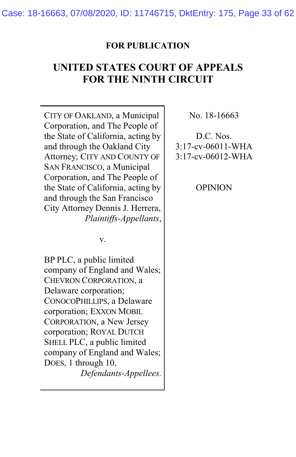Case: 18-16663, 07/08/2020, ID: 11746715, DktEntry: 175, Page 33 of 62

#### **FOR PUBLICATION**

# **UNITED STATES COURT OF APPEALS FOR THE NINTH CIRCUIT**

CITY OF OAKLAND, a Municipal Corporation, and The People of the State of California, acting by and through the Oakland City Attorney; CITY AND COUNTY OF SAN FRANCISCO, a Municipal Corporation, and The People of the State of California, acting by and through the San Francisco City Attorney Dennis J. Herrera, *Plaintiffs-Appellants*, No. 18-16663

D.C. Nos. 3:17-cv-06011-WHA 3:17-cv-06012-WHA

OPINION

v.

BP PLC, a public limited company of England and Wales; CHEVRON CORPORATION, a Delaware corporation; CONOCOPHILLIPS, a Delaware corporation; EXXON MOBIL CORPORATION, a New Jersey corporation; ROYAL DUTCH SHELL PLC, a public limited company of England and Wales; DOES, 1 through 10, *Defendants-Appellees.*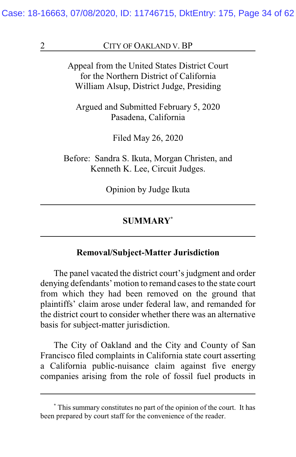Case: 18-16663, 07/08/2020, ID: 11746715, DktEntry: 175, Page 34 of 62

#### 2 CITY OF OAKLAND V. BP

Appeal from the United States District Court for the Northern District of California William Alsup, District Judge, Presiding

Argued and Submitted February 5, 2020 Pasadena, California

Filed May 26, 2020

Before: Sandra S. Ikuta, Morgan Christen, and Kenneth K. Lee, Circuit Judges.

Opinion by Judge Ikuta

#### **SUMMARY\***

#### **Removal/Subject-Matter Jurisdiction**

The panel vacated the district court's judgment and order denying defendants' motion to remand cases to the state court from which they had been removed on the ground that plaintiffs' claim arose under federal law, and remanded for the district court to consider whether there was an alternative basis for subject-matter jurisdiction.

The City of Oakland and the City and County of San Francisco filed complaints in California state court asserting a California public-nuisance claim against five energy companies arising from the role of fossil fuel products in

**<sup>\*</sup>** This summary constitutes no part of the opinion of the court. It has been prepared by court staff for the convenience of the reader.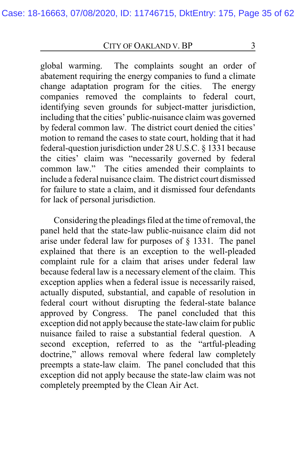global warming. The complaints sought an order of abatement requiring the energy companies to fund a climate change adaptation program for the cities. The energy companies removed the complaints to federal court, identifying seven grounds for subject-matter jurisdiction, including that the cities' public-nuisance claim was governed by federal common law. The district court denied the cities' motion to remand the cases to state court, holding that it had federal-question jurisdiction under 28 U.S.C. § 1331 because the cities' claim was "necessarily governed by federal common law." The cities amended their complaints to include a federal nuisance claim. The district court dismissed for failure to state a claim, and it dismissed four defendants for lack of personal jurisdiction.

Considering the pleadings filed at the time of removal, the panel held that the state-law public-nuisance claim did not arise under federal law for purposes of § 1331. The panel explained that there is an exception to the well-pleaded complaint rule for a claim that arises under federal law because federal law is a necessary element of the claim. This exception applies when a federal issue is necessarily raised, actually disputed, substantial, and capable of resolution in federal court without disrupting the federal-state balance approved by Congress. The panel concluded that this exception did not apply because the state-law claim for public nuisance failed to raise a substantial federal question. A second exception, referred to as the "artful-pleading doctrine," allows removal where federal law completely preempts a state-law claim. The panel concluded that this exception did not apply because the state-law claim was not completely preempted by the Clean Air Act.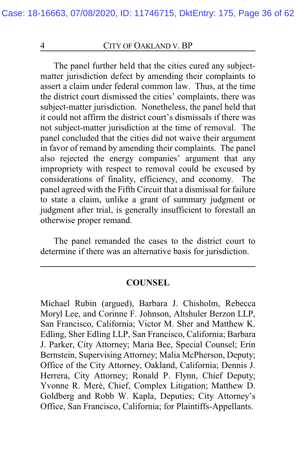The panel further held that the cities cured any subjectmatter jurisdiction defect by amending their complaints to assert a claim under federal common law. Thus, at the time the district court dismissed the cities' complaints, there was subject-matter jurisdiction. Nonetheless, the panel held that it could not affirm the district court's dismissals if there was not subject-matter jurisdiction at the time of removal. The panel concluded that the cities did not waive their argument in favor of remand by amending their complaints. The panel also rejected the energy companies' argument that any impropriety with respect to removal could be excused by considerations of finality, efficiency, and economy. The panel agreed with the Fifth Circuit that a dismissal for failure to state a claim, unlike a grant of summary judgment or judgment after trial, is generally insufficient to forestall an otherwise proper remand.

The panel remanded the cases to the district court to determine if there was an alternative basis for jurisdiction.

#### **COUNSEL**

Michael Rubin (argued), Barbara J. Chisholm, Rebecca Moryl Lee, and Corinne F. Johnson, Altshuler Berzon LLP, San Francisco, California; Victor M. Sher and Matthew K. Edling, Sher Edling LLP, San Francisco, California; Barbara J. Parker, City Attorney; Maria Bee, Special Counsel; Erin Bernstein, Supervising Attorney; Malia McPherson, Deputy; Office of the City Attorney, Oakland, California; Dennis J. Herrera, City Attorney; Ronald P. Flynn, Chief Deputy; Yvonne R. Meré, Chief, Complex Litigation; Matthew D. Goldberg and Robb W. Kapla, Deputies; City Attorney's Office, San Francisco, California; for Plaintiffs-Appellants.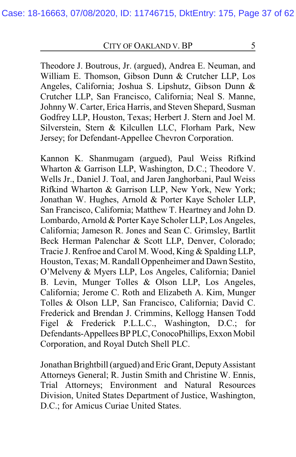Theodore J. Boutrous, Jr. (argued), Andrea E. Neuman, and William E. Thomson, Gibson Dunn & Crutcher LLP, Los Angeles, California; Joshua S. Lipshutz, Gibson Dunn & Crutcher LLP, San Francisco, California; Neal S. Manne, Johnny W. Carter, Erica Harris, and Steven Shepard, Susman Godfrey LLP, Houston, Texas; Herbert J. Stern and Joel M. Silverstein, Stern & Kilcullen LLC, Florham Park, New Jersey; for Defendant-Appellee Chevron Corporation.

Kannon K. Shanmugam (argued), Paul Weiss Rifkind Wharton & Garrison LLP, Washington, D.C.; Theodore V. Wells Jr., Daniel J. Toal, and Jaren Janghorbani, Paul Weiss Rifkind Wharton & Garrison LLP, New York, New York; Jonathan W. Hughes, Arnold & Porter Kaye Scholer LLP, San Francisco, California; Matthew T. Heartney and John D. Lombardo, Arnold & Porter Kaye Scholer LLP, Los Angeles, California; Jameson R. Jones and Sean C. Grimsley, Bartlit Beck Herman Palenchar & Scott LLP, Denver, Colorado; Tracie J. Renfroe and Carol M. Wood, King & Spalding LLP, Houston, Texas; M. Randall Oppenheimer and Dawn Sestito, O'Melveny & Myers LLP, Los Angeles, California; Daniel B. Levin, Munger Tolles & Olson LLP, Los Angeles, California; Jerome C. Roth and Elizabeth A. Kim, Munger Tolles & Olson LLP, San Francisco, California; David C. Frederick and Brendan J. Crimmins, Kellogg Hansen Todd Figel & Frederick P.L.L.C., Washington, D.C.; for Defendants-Appellees BP PLC, ConocoPhillips, Exxon Mobil Corporation, and Royal Dutch Shell PLC.

Jonathan Brightbill (argued) and Eric Grant, DeputyAssistant Attorneys General; R. Justin Smith and Christine W. Ennis, Trial Attorneys; Environment and Natural Resources Division, United States Department of Justice, Washington, D.C.; for Amicus Curiae United States.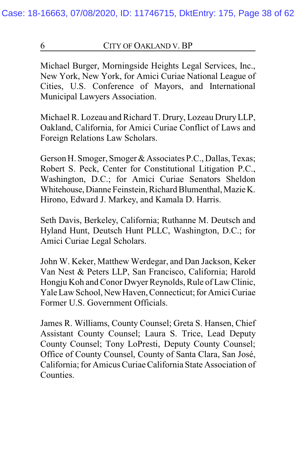Michael Burger, Morningside Heights Legal Services, Inc., New York, New York, for Amici Curiae National League of Cities, U.S. Conference of Mayors, and International Municipal Lawyers Association.

Michael R. Lozeau and Richard T. Drury, Lozeau DruryLLP, Oakland, California, for Amici Curiae Conflict of Laws and Foreign Relations Law Scholars.

Gerson H. Smoger, Smoger & Associates P.C., Dallas, Texas; Robert S. Peck, Center for Constitutional Litigation P.C., Washington, D.C.; for Amici Curiae Senators Sheldon Whitehouse, Dianne Feinstein, Richard Blumenthal, Mazie K. Hirono, Edward J. Markey, and Kamala D. Harris.

Seth Davis, Berkeley, California; Ruthanne M. Deutsch and Hyland Hunt, Deutsch Hunt PLLC, Washington, D.C.; for Amici Curiae Legal Scholars.

John W. Keker, Matthew Werdegar, and Dan Jackson, Keker Van Nest & Peters LLP, San Francisco, California; Harold Hongju Koh and Conor Dwyer Reynolds, Rule of Law Clinic, Yale Law School, New Haven, Connecticut; for Amici Curiae Former U.S. Government Officials.

James R. Williams, County Counsel; Greta S. Hansen, Chief Assistant County Counsel; Laura S. Trice, Lead Deputy County Counsel; Tony LoPresti, Deputy County Counsel; Office of County Counsel, County of Santa Clara, San José, California; for Amicus Curiae California State Association of Counties.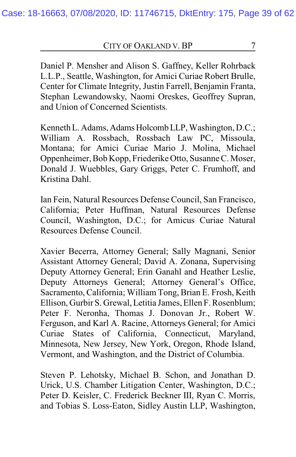Daniel P. Mensher and Alison S. Gaffney, Keller Rohrback L.L.P., Seattle, Washington, for Amici Curiae Robert Brulle, Center for Climate Integrity, Justin Farrell, Benjamin Franta, Stephan Lewandowsky, Naomi Oreskes, Geoffrey Supran, and Union of Concerned Scientists.

Kenneth L. Adams, Adams Holcomb LLP, Washington, D.C.; William A. Rossbach, Rossbach Law PC, Missoula, Montana; for Amici Curiae Mario J. Molina, Michael Oppenheimer, Bob Kopp, Friederike Otto, Susanne C. Moser, Donald J. Wuebbles, Gary Griggs, Peter C. Frumhoff, and Kristina Dahl.

Ian Fein, Natural Resources Defense Council, San Francisco, California; Peter Huffman, Natural Resources Defense Council, Washington, D.C.; for Amicus Curiae Natural Resources Defense Council.

Xavier Becerra, Attorney General; Sally Magnani, Senior Assistant Attorney General; David A. Zonana, Supervising Deputy Attorney General; Erin Ganahl and Heather Leslie, Deputy Attorneys General; Attorney General's Office, Sacramento, California; William Tong, Brian E. Frosh, Keith Ellison, Gurbir S. Grewal, Letitia James, Ellen F. Rosenblum; Peter F. Neronha, Thomas J. Donovan Jr., Robert W. Ferguson, and Karl A. Racine, Attorneys General; for Amici Curiae States of California, Connecticut, Maryland, Minnesota, New Jersey, New York, Oregon, Rhode Island, Vermont, and Washington, and the District of Columbia.

Steven P. Lehotsky, Michael B. Schon, and Jonathan D. Urick, U.S. Chamber Litigation Center, Washington, D.C.; Peter D. Keisler, C. Frederick Beckner III, Ryan C. Morris, and Tobias S. Loss-Eaton, Sidley Austin LLP, Washington,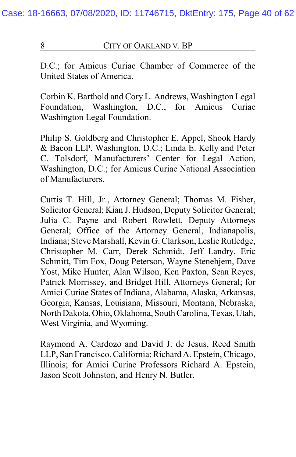D.C.; for Amicus Curiae Chamber of Commerce of the United States of America.

Corbin K. Barthold and Cory L. Andrews, Washington Legal Foundation, Washington, D.C., for Amicus Curiae Washington Legal Foundation.

Philip S. Goldberg and Christopher E. Appel, Shook Hardy & Bacon LLP, Washington, D.C.; Linda E. Kelly and Peter C. Tolsdorf, Manufacturers' Center for Legal Action, Washington, D.C.; for Amicus Curiae National Association of Manufacturers.

Curtis T. Hill, Jr., Attorney General; Thomas M. Fisher, Solicitor General; Kian J. Hudson, Deputy Solicitor General; Julia C. Payne and Robert Rowlett, Deputy Attorneys General; Office of the Attorney General, Indianapolis, Indiana; Steve Marshall, Kevin G. Clarkson, Leslie Rutledge, Christopher M. Carr, Derek Schmidt, Jeff Landry, Eric Schmitt, Tim Fox, Doug Peterson, Wayne Stenehjem, Dave Yost, Mike Hunter, Alan Wilson, Ken Paxton, Sean Reyes, Patrick Morrissey, and Bridget Hill, Attorneys General; for Amici Curiae States of Indiana, Alabama, Alaska, Arkansas, Georgia, Kansas, Louisiana, Missouri, Montana, Nebraska, North Dakota, Ohio, Oklahoma, SouthCarolina, Texas, Utah, West Virginia, and Wyoming.

Raymond A. Cardozo and David J. de Jesus, Reed Smith LLP, San Francisco, California; Richard A. Epstein, Chicago, Illinois; for Amici Curiae Professors Richard A. Epstein, Jason Scott Johnston, and Henry N. Butler.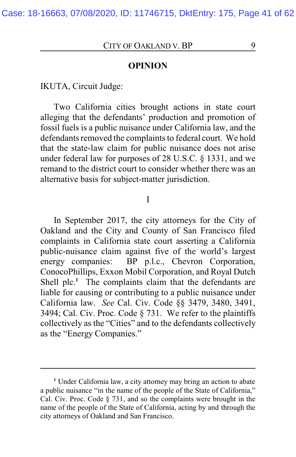**OPINION**

IKUTA, Circuit Judge:

Two California cities brought actions in state court alleging that the defendants' production and promotion of fossil fuels is a public nuisance under California law, and the defendants removed the complaints to federal court. We hold that the state-law claim for public nuisance does not arise under federal law for purposes of 28 U.S.C. § 1331, and we remand to the district court to consider whether there was an alternative basis for subject-matter jurisdiction.

#### I

In September 2017, the city attorneys for the City of Oakland and the City and County of San Francisco filed complaints in California state court asserting a California public-nuisance claim against five of the world's largest energy companies: BP p.l.c., Chevron Corporation, ConocoPhillips, Exxon Mobil Corporation, and Royal Dutch Shell plc.<sup>1</sup> The complaints claim that the defendants are liable for causing or contributing to a public nuisance under California law. *See* Cal. Civ. Code §§ 3479, 3480, 3491, 3494; Cal. Civ. Proc. Code § 731. We refer to the plaintiffs collectively as the "Cities" and to the defendants collectively as the "Energy Companies."

**<sup>1</sup>** Under California law, a city attorney may bring an action to abate a public nuisance "in the name of the people of the State of California," Cal. Civ. Proc. Code § 731, and so the complaints were brought in the name of the people of the State of California, acting by and through the city attorneys of Oakland and San Francisco.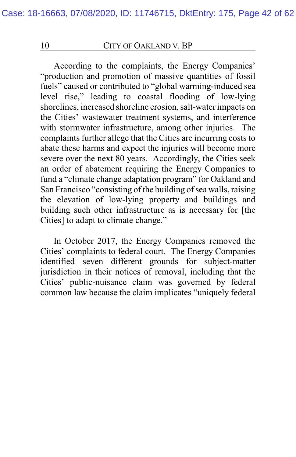According to the complaints, the Energy Companies' "production and promotion of massive quantities of fossil fuels" caused or contributed to "global warming-induced sea level rise," leading to coastal flooding of low-lying shorelines, increased shoreline erosion, salt-water impacts on the Cities' wastewater treatment systems, and interference with stormwater infrastructure, among other injuries. The complaints further allege that the Cities are incurring costs to abate these harms and expect the injuries will become more severe over the next 80 years. Accordingly, the Cities seek an order of abatement requiring the Energy Companies to fund a "climate change adaptation program" for Oakland and San Francisco "consisting of the building of sea walls, raising the elevation of low-lying property and buildings and building such other infrastructure as is necessary for [the Cities] to adapt to climate change."

In October 2017, the Energy Companies removed the Cities' complaints to federal court. The Energy Companies identified seven different grounds for subject-matter jurisdiction in their notices of removal, including that the Cities' public-nuisance claim was governed by federal common law because the claim implicates "uniquely federal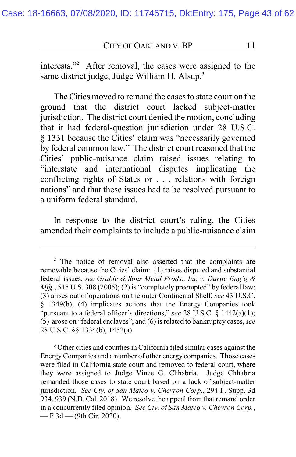interests."**<sup>2</sup>** After removal, the cases were assigned to the same district judge, Judge William H. Alsup.**<sup>3</sup>**

The Cities moved to remand the cases to state court on the ground that the district court lacked subject-matter jurisdiction. The district court denied the motion, concluding that it had federal-question jurisdiction under 28 U.S.C. § 1331 because the Cities' claim was "necessarily governed by federal common law." The district court reasoned that the Cities' public-nuisance claim raised issues relating to "interstate and international disputes implicating the conflicting rights of States or . . . relations with foreign nations" and that these issues had to be resolved pursuant to a uniform federal standard.

In response to the district court's ruling, the Cities amended their complaints to include a public-nuisance claim

**<sup>2</sup>** The notice of removal also asserted that the complaints are removable because the Cities' claim: (1) raises disputed and substantial federal issues, *see Grable & Sons Metal Prods., Inc v. Darue Eng'g & Mfg.*, 545 U.S. 308 (2005); (2) is "completely preempted" by federal law; (3) arises out of operations on the outer Continental Shelf, *see* 43 U.S.C. § 1349(b); (4) implicates actions that the Energy Companies took "pursuant to a federal officer's directions," see 28 U.S.C. § 1442(a)(1); (5) arose on "federal enclaves"; and (6) is related to bankruptcy cases, *see* 28 U.S.C. §§ 1334(b), 1452(a).

**<sup>3</sup>** Other cities and counties in California filed similar cases against the EnergyCompanies and a number of other energy companies. Those cases were filed in California state court and removed to federal court, where they were assigned to Judge Vince G. Chhabria. Judge Chhabria remanded those cases to state court based on a lack of subject-matter jurisdiction. *See Cty. of San Mateo v. Chevron Corp.*, 294 F. Supp. 3d 934, 939 (N.D. Cal. 2018). We resolve the appeal from that remand order in a concurrently filed opinion. *See Cty. of San Mateo v. Chevron Corp.*,  $-$  F.3d  $-$  (9th Cir. 2020).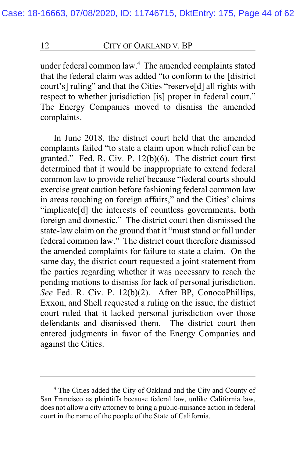under federal common law.**<sup>4</sup>** The amended complaints stated that the federal claim was added "to conform to the [district court's] ruling" and that the Cities "reserve[d] all rights with respect to whether jurisdiction [is] proper in federal court." The Energy Companies moved to dismiss the amended complaints.

In June 2018, the district court held that the amended complaints failed "to state a claim upon which relief can be granted." Fed. R. Civ. P. 12(b)(6). The district court first determined that it would be inappropriate to extend federal common law to provide relief because "federal courts should exercise great caution before fashioning federal common law in areas touching on foreign affairs," and the Cities' claims "implicate[d] the interests of countless governments, both foreign and domestic." The district court then dismissed the state-law claim on the ground that it "must stand or fall under federal common law." The district court therefore dismissed the amended complaints for failure to state a claim. On the same day, the district court requested a joint statement from the parties regarding whether it was necessary to reach the pending motions to dismiss for lack of personal jurisdiction. *See* Fed. R. Civ. P. 12(b)(2). After BP, ConocoPhillips, Exxon, and Shell requested a ruling on the issue, the district court ruled that it lacked personal jurisdiction over those defendants and dismissed them. The district court then entered judgments in favor of the Energy Companies and against the Cities.

**<sup>4</sup>** The Cities added the City of Oakland and the City and County of San Francisco as plaintiffs because federal law, unlike California law, does not allow a city attorney to bring a public-nuisance action in federal court in the name of the people of the State of California.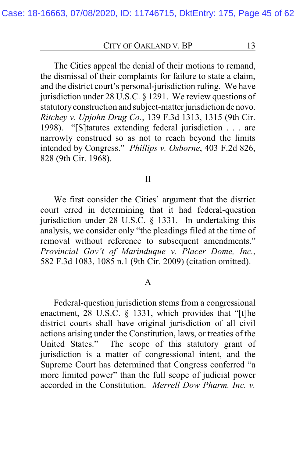The Cities appeal the denial of their motions to remand, the dismissal of their complaints for failure to state a claim, and the district court's personal-jurisdiction ruling. We have jurisdiction under 28 U.S.C. § 1291. We review questions of statutory construction and subject-matter jurisdiction de novo. *Ritchey v. Upjohn Drug Co.*, 139 F.3d 1313, 1315 (9th Cir. 1998). "[S]tatutes extending federal jurisdiction . . . are narrowly construed so as not to reach beyond the limits intended by Congress." *Phillips v. Osborne*, 403 F.2d 826, 828 (9th Cir. 1968).

#### II

We first consider the Cities' argument that the district court erred in determining that it had federal-question jurisdiction under 28 U.S.C. § 1331. In undertaking this analysis, we consider only "the pleadings filed at the time of removal without reference to subsequent amendments." *Provincial Gov't of Marinduque v. Placer Dome, Inc.*, 582 F.3d 1083, 1085 n.1 (9th Cir. 2009) (citation omitted).

#### A

Federal-question jurisdiction stems from a congressional enactment, 28 U.S.C. § 1331, which provides that "[t]he district courts shall have original jurisdiction of all civil actions arising under the Constitution, laws, or treaties of the United States." The scope of this statutory grant of The scope of this statutory grant of jurisdiction is a matter of congressional intent, and the Supreme Court has determined that Congress conferred "a more limited power" than the full scope of judicial power accorded in the Constitution. *Merrell Dow Pharm. Inc. v.*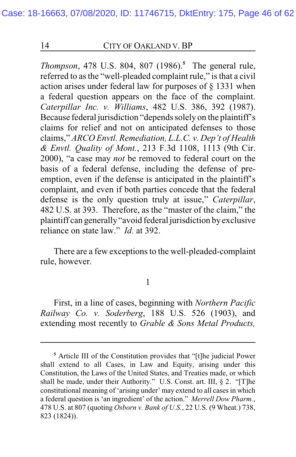*Thompson*, 478 U.S. 804, 807 (1986).**<sup>5</sup>** The general rule, referred to as the "well-pleaded complaint rule," is that a civil action arises under federal law for purposes of § 1331 when a federal question appears on the face of the complaint. *Caterpillar Inc. v. Williams*, 482 U.S. 386, 392 (1987). Because federal jurisdiction "depends solely on the plaintiff's claims for relief and not on anticipated defenses to those claims," *ARCO Envtl. Remediation, L.L.C. v. Dep't of Health & Envtl. Quality of Mont.*, 213 F.3d 1108, 1113 (9th Cir. 2000), "a case may *not* be removed to federal court on the basis of a federal defense, including the defense of preemption, even if the defense is anticipated in the plaintiff's complaint, and even if both parties concede that the federal defense is the only question truly at issue," *Caterpillar*, 482 U.S. at 393. Therefore, as the "master of the claim," the plaintiff can generally"avoid federal jurisdiction byexclusive reliance on state law." *Id.* at 392.

There are a few exceptions to the well-pleaded-complaint rule, however.

1

First, in a line of cases, beginning with *Northern Pacific Railway Co. v. Soderberg*, 188 U.S. 526 (1903), and extending most recently to *Grable & Sons Metal Products,*

**<sup>5</sup>** Article III of the Constitution provides that "[t]he judicial Power shall extend to all Cases, in Law and Equity, arising under this Constitution, the Laws of the United States, and Treaties made, or which shall be made, under their Authority." U.S. Const. art. III, § 2. "[T]he constitutional meaning of 'arising under' may extend to all cases in which a federal question is 'an ingredient' of the action." *Merrell Dow Pharm.*, 478 U.S. at 807 (quoting *Osborn v. Bank of U.S.*, 22 U.S. (9 Wheat.) 738, 823 (1824)).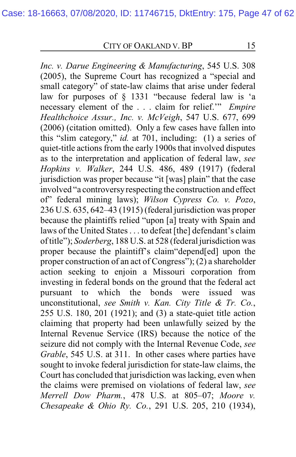*Inc. v. Darue Engineering & Manufacturing*, 545 U.S. 308 (2005), the Supreme Court has recognized a "special and small category" of state-law claims that arise under federal law for purposes of § 1331 "because federal law is 'a necessary element of the . . . claim for relief.'" *Empire Healthchoice Assur., Inc. v. McVeigh*, 547 U.S. 677, 699 (2006) (citation omitted). Only a few cases have fallen into this "slim category," *id.* at 701, including: (1) a series of quiet-title actions from the early 1900s that involved disputes as to the interpretation and application of federal law, *see Hopkins v. Walker*, 244 U.S. 486, 489 (1917) (federal jurisdiction was proper because "it [was] plain" that the case involved "a controversyrespecting the construction and effect of" federal mining laws); *Wilson Cypress Co. v. Pozo*, 236 U.S. 635, 642–43 (1915) (federal jurisdiction was proper because the plaintiffs relied "upon [a] treaty with Spain and laws of the United States . . . to defeat [the] defendant's claim of title"); *Soderberg*, 188 U.S. at 528 (federal jurisdiction was proper because the plaintiff's claim"depend[ed] upon the proper construction of an act of Congress"); (2) a shareholder action seeking to enjoin a Missouri corporation from investing in federal bonds on the ground that the federal act pursuant to which the bonds were issued was unconstitutional, *see Smith v. Kan. City Title & Tr. Co.*, 255 U.S. 180, 201 (1921); and (3) a state-quiet title action claiming that property had been unlawfully seized by the Internal Revenue Service (IRS) because the notice of the seizure did not comply with the Internal Revenue Code, *see Grable*, 545 U.S. at 311. In other cases where parties have sought to invoke federal jurisdiction for state-law claims, the Court has concluded that jurisdiction was lacking, even when the claims were premised on violations of federal law, *see Merrell Dow Pharm.*, 478 U.S. at 805–07; *Moore v. Chesapeake & Ohio Ry. Co.*, 291 U.S. 205, 210 (1934),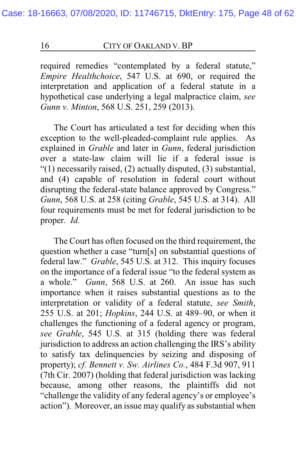required remedies "contemplated by a federal statute," *Empire Healthchoice*, 547 U.S. at 690, or required the interpretation and application of a federal statute in a hypothetical case underlying a legal malpractice claim, *see Gunn v. Minton*, 568 U.S. 251, 259 (2013).

The Court has articulated a test for deciding when this exception to the well-pleaded-complaint rule applies. As explained in *Grable* and later in *Gunn*, federal jurisdiction over a state-law claim will lie if a federal issue is "(1) necessarily raised, (2) actually disputed, (3) substantial, and (4) capable of resolution in federal court without disrupting the federal-state balance approved by Congress." *Gunn*, 568 U.S. at 258 (citing *Grable*, 545 U.S. at 314). All four requirements must be met for federal jurisdiction to be proper. *Id.*

The Court has often focused on the third requirement, the question whether a case "turn[s] on substantial questions of federal law." *Grable*, 545 U.S. at 312. This inquiry focuses on the importance of a federal issue "to the federal system as a whole." *Gunn*, 568 U.S. at 260. An issue has such importance when it raises substantial questions as to the interpretation or validity of a federal statute, *see Smith*, 255 U.S. at 201; *Hopkins*, 244 U.S. at 489–90, or when it challenges the functioning of a federal agency or program, *see Grable*, 545 U.S. at 315 (holding there was federal jurisdiction to address an action challenging the IRS's ability to satisfy tax delinquencies by seizing and disposing of property); *cf. Bennett v. Sw. Airlines Co.*, 484 F.3d 907, 911 (7th Cir. 2007) (holding that federal jurisdiction was lacking because, among other reasons, the plaintiffs did not "challenge the validity of any federal agency's or employee's action"). Moreover, an issue may qualify as substantial when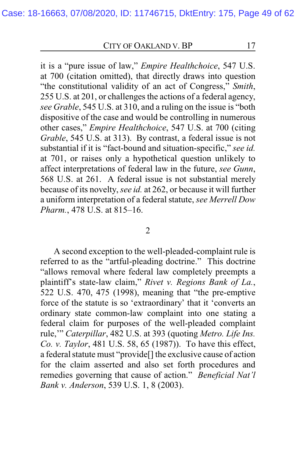it is a "pure issue of law," *Empire Healthchoice*, 547 U.S. at 700 (citation omitted), that directly draws into question "the constitutional validity of an act of Congress," *Smith*, 255 U.S. at 201, or challenges the actions of a federal agency, *see Grable*, 545 U.S. at 310, and a ruling on the issue is "both dispositive of the case and would be controlling in numerous other cases," *Empire Healthchoice*, 547 U.S. at 700 (citing *Grable*, 545 U.S. at 313). By contrast, a federal issue is not substantial if it is "fact-bound and situation-specific," *see id.* at 701, or raises only a hypothetical question unlikely to affect interpretations of federal law in the future, *see Gunn*, 568 U.S. at 261. A federal issue is not substantial merely because of its novelty, *see id.* at 262, or because it will further a uniform interpretation of a federal statute, *see Merrell Dow Pharm.*, 478 U.S. at 815–16.

#### 2

A second exception to the well-pleaded-complaint rule is referred to as the "artful-pleading doctrine." This doctrine "allows removal where federal law completely preempts a plaintiff's state-law claim," *Rivet v. Regions Bank of La.*, 522 U.S. 470, 475 (1998), meaning that "the pre-emptive force of the statute is so 'extraordinary' that it 'converts an ordinary state common-law complaint into one stating a federal claim for purposes of the well-pleaded complaint rule,'" *Caterpillar*, 482 U.S. at 393 (quoting *Metro. Life Ins. Co. v. Taylor*, 481 U.S. 58, 65 (1987)). To have this effect, a federal statute must "provide[] the exclusive cause of action for the claim asserted and also set forth procedures and remedies governing that cause of action." *Beneficial Nat'l Bank v. Anderson*, 539 U.S. 1, 8 (2003).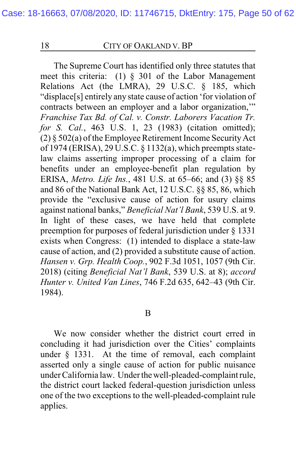The Supreme Court has identified only three statutes that meet this criteria: (1) § 301 of the Labor Management Relations Act (the LMRA), 29 U.S.C. § 185, which "displace[s] entirely any state cause of action 'for violation of contracts between an employer and a labor organization,'" *Franchise Tax Bd. of Cal. v. Constr. Laborers Vacation Tr. for S. Cal.*, 463 U.S. 1, 23 (1983) (citation omitted); (2)  $\S$  502(a) of the Employee Retirement Income Security Act of 1974 (ERISA), 29 U.S.C. § 1132(a), which preempts statelaw claims asserting improper processing of a claim for benefits under an employee-benefit plan regulation by ERISA, *Metro. Life Ins.*, 481 U.S. at 65–66; and (3) §§ 85 and 86 of the National Bank Act, 12 U.S.C. §§ 85, 86, which provide the "exclusive cause of action for usury claims against national banks," *Beneficial Nat'l Bank*, 539 U.S. at 9. In light of these cases, we have held that complete preemption for purposes of federal jurisdiction under § 1331 exists when Congress: (1) intended to displace a state-law cause of action, and (2) provided a substitute cause of action. *Hansen v. Grp. Health Coop.*, 902 F.3d 1051, 1057 (9th Cir. 2018) (citing *Beneficial Nat'l Bank*, 539 U.S. at 8); *accord Hunter v. United Van Lines*, 746 F.2d 635, 642–43 (9th Cir. 1984).

#### B

We now consider whether the district court erred in concluding it had jurisdiction over the Cities' complaints under § 1331. At the time of removal, each complaint asserted only a single cause of action for public nuisance under California law. Under thewell-pleaded-complaint rule, the district court lacked federal-question jurisdiction unless one of the two exceptions to the well-pleaded-complaint rule applies.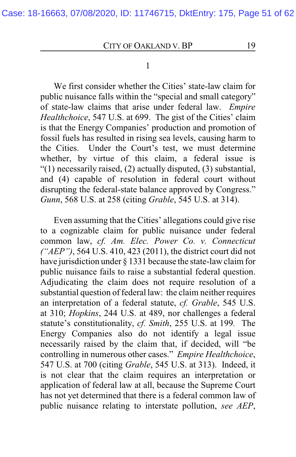#### 1

We first consider whether the Cities' state-law claim for public nuisance falls within the "special and small category" of state-law claims that arise under federal law. *Empire Healthchoice*, 547 U.S. at 699. The gist of the Cities' claim is that the Energy Companies' production and promotion of fossil fuels has resulted in rising sea levels, causing harm to the Cities. Under the Court's test, we must determine whether, by virtue of this claim, a federal issue is "(1) necessarily raised, (2) actually disputed, (3) substantial, and (4) capable of resolution in federal court without disrupting the federal-state balance approved by Congress." *Gunn*, 568 U.S. at 258 (citing *Grable*, 545 U.S. at 314).

Even assuming that the Cities' allegations could give rise to a cognizable claim for public nuisance under federal common law, *cf. Am. Elec. Power Co. v. Connecticut ("AEP")*, 564 U.S. 410, 423 (2011), the district court did not have jurisdiction under § 1331 because the state-law claim for public nuisance fails to raise a substantial federal question. Adjudicating the claim does not require resolution of a substantial question of federal law: the claim neither requires an interpretation of a federal statute, *cf. Grable*, 545 U.S. at 310; *Hopkins*, 244 U.S. at 489, nor challenges a federal statute's constitutionality, *cf. Smith*, 255 U.S. at 199*.* The Energy Companies also do not identify a legal issue necessarily raised by the claim that, if decided, will "be controlling in numerous other cases." *Empire Healthchoice*, 547 U.S. at 700 (citing *Grable*, 545 U.S. at 313). Indeed, it is not clear that the claim requires an interpretation or application of federal law at all, because the Supreme Court has not yet determined that there is a federal common law of public nuisance relating to interstate pollution, *see AEP*,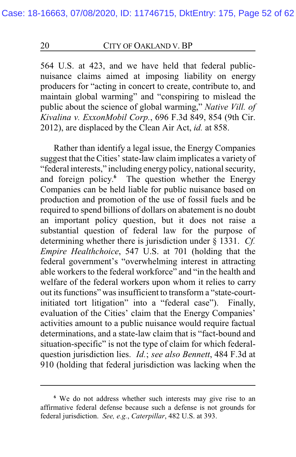564 U.S. at 423, and we have held that federal publicnuisance claims aimed at imposing liability on energy producers for "acting in concert to create, contribute to, and maintain global warming" and "conspiring to mislead the public about the science of global warming," *Native Vill. of Kivalina v. ExxonMobil Corp.*, 696 F.3d 849, 854 (9th Cir. 2012), are displaced by the Clean Air Act, *id.* at 858.

Rather than identify a legal issue, the Energy Companies suggest that the Cities' state-law claim implicates a variety of "federal interests," including energy policy, national security, and foreign policy. **<sup>6</sup>** The question whether the Energy Companies can be held liable for public nuisance based on production and promotion of the use of fossil fuels and be required to spend billions of dollars on abatement is no doubt an important policy question, but it does not raise a substantial question of federal law for the purpose of determining whether there is jurisdiction under § 1331. *Cf. Empire Healthchoice*, 547 U.S. at 701 (holding that the federal government's "overwhelming interest in attracting able workers to the federal workforce" and "in the health and welfare of the federal workers upon whom it relies to carry out its functions" was insufficient to transform a "state-courtinitiated tort litigation" into a "federal case"). Finally, evaluation of the Cities' claim that the Energy Companies' activities amount to a public nuisance would require factual determinations, and a state-law claim that is "fact-bound and situation-specific" is not the type of claim for which federalquestion jurisdiction lies. *Id.*; *see also Bennett*, 484 F.3d at 910 (holding that federal jurisdiction was lacking when the

**<sup>6</sup>** We do not address whether such interests may give rise to an affirmative federal defense because such a defense is not grounds for federal jurisdiction. *See, e.g.*, *Caterpillar*, 482 U.S. at 393.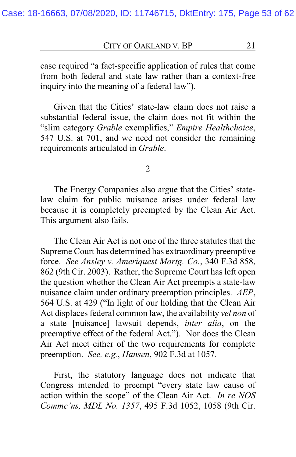case required "a fact-specific application of rules that come from both federal and state law rather than a context-free inquiry into the meaning of a federal law").

Given that the Cities' state-law claim does not raise a substantial federal issue, the claim does not fit within the "slim category *Grable* exemplifies," *Empire Healthchoice*, 547 U.S. at 701, and we need not consider the remaining requirements articulated in *Grable*.

2

The Energy Companies also argue that the Cities' statelaw claim for public nuisance arises under federal law because it is completely preempted by the Clean Air Act. This argument also fails.

The Clean Air Act is not one of the three statutes that the Supreme Court has determined has extraordinary preemptive force. *See Ansley v. Ameriquest Mortg. Co.*, 340 F.3d 858, 862 (9th Cir. 2003). Rather, the Supreme Court has left open the question whether the Clean Air Act preempts a state-law nuisance claim under ordinary preemption principles. *AEP*, 564 U.S. at 429 ("In light of our holding that the Clean Air Act displaces federal common law, the availability *vel non* of a state [nuisance] lawsuit depends, *inter alia*, on the preemptive effect of the federal Act."). Nor does the Clean Air Act meet either of the two requirements for complete preemption. *See, e.g.*, *Hansen*, 902 F.3d at 1057.

First, the statutory language does not indicate that Congress intended to preempt "every state law cause of action within the scope" of the Clean Air Act. *In re NOS Commc'ns, MDL No. 1357*, 495 F.3d 1052, 1058 (9th Cir.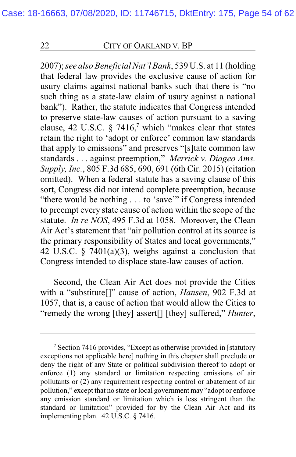2007); *see also Beneficial Nat'l Bank*, 539 U.S. at 11 (holding that federal law provides the exclusive cause of action for usury claims against national banks such that there is "no such thing as a state-law claim of usury against a national bank"). Rather, the statute indicates that Congress intended to preserve state-law causes of action pursuant to a saving clause, 42 U.S.C. § 7416,**<sup>7</sup>** which "makes clear that states retain the right to 'adopt or enforce' common law standards that apply to emissions" and preserves "[s]tate common law standards . . . against preemption," *Merrick v. Diageo Ams. Supply, Inc.*, 805 F.3d 685, 690, 691 (6th Cir. 2015) (citation omitted). When a federal statute has a saving clause of this sort, Congress did not intend complete preemption, because "there would be nothing . . . to 'save'" if Congress intended to preempt every state cause of action within the scope of the statute. *In re NOS*, 495 F.3d at 1058. Moreover, the Clean Air Act's statement that "air pollution control at its source is the primary responsibility of States and local governments," 42 U.S.C. § 7401(a)(3), weighs against a conclusion that Congress intended to displace state-law causes of action.

Second, the Clean Air Act does not provide the Cities with a "substitute[]" cause of action, *Hansen*, 902 F.3d at 1057, that is, a cause of action that would allow the Cities to "remedy the wrong [they] assert[] [they] suffered," *Hunter*,

**<sup>7</sup>** Section 7416 provides, "Except as otherwise provided in [statutory exceptions not applicable here] nothing in this chapter shall preclude or deny the right of any State or political subdivision thereof to adopt or enforce (1) any standard or limitation respecting emissions of air pollutants or (2) any requirement respecting control or abatement of air pollution," except that no state or local government may "adopt or enforce any emission standard or limitation which is less stringent than the standard or limitation" provided for by the Clean Air Act and its implementing plan. 42 U.S.C. § 7416.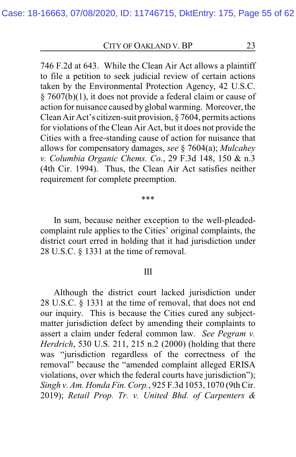746 F.2d at 643. While the Clean Air Act allows a plaintiff to file a petition to seek judicial review of certain actions taken by the Environmental Protection Agency, 42 U.S.C. § 7607(b)(1), it does not provide a federal claim or cause of action for nuisance caused by global warming. Moreover, the Clean Air Act's citizen-suit provision, § 7604, permits actions for violations of the Clean Air Act, but it does not provide the Cities with a free-standing cause of action for nuisance that allows for compensatory damages, *see* § 7604(a); *Mulcahey v. Columbia Organic Chems. Co.*, 29 F.3d 148, 150 & n.3 (4th Cir. 1994). Thus, the Clean Air Act satisfies neither requirement for complete preemption.

#### \*\*\*

In sum, because neither exception to the well-pleadedcomplaint rule applies to the Cities' original complaints, the district court erred in holding that it had jurisdiction under 28 U.S.C. § 1331 at the time of removal.

#### III

Although the district court lacked jurisdiction under 28 U.S.C. § 1331 at the time of removal, that does not end our inquiry. This is because the Cities cured any subjectmatter jurisdiction defect by amending their complaints to assert a claim under federal common law. *See Pegram v. Herdrich*, 530 U.S. 211, 215 n.2 (2000) (holding that there was "jurisdiction regardless of the correctness of the removal" because the "amended complaint alleged ERISA violations, over which the federal courts have jurisdiction"); *Singh v. Am. Honda Fin. Corp.*, 925 F.3d 1053, 1070 (9th Cir. 2019); *Retail Prop. Tr. v. United Bhd. of Carpenters &*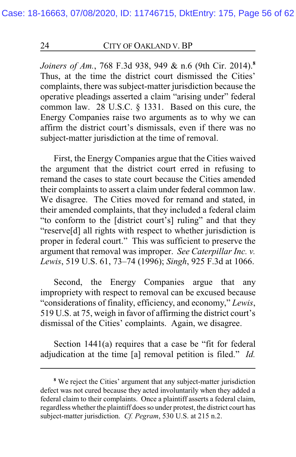*Joiners of Am.*, 768 F.3d 938, 949 & n.6 (9th Cir. 2014).**<sup>8</sup>** Thus, at the time the district court dismissed the Cities' complaints, there was subject-matter jurisdiction because the operative pleadings asserted a claim "arising under" federal common law. 28 U.S.C. § 1331. Based on this cure, the Energy Companies raise two arguments as to why we can affirm the district court's dismissals, even if there was no subject-matter jurisdiction at the time of removal.

First, the Energy Companies argue that the Cities waived the argument that the district court erred in refusing to remand the cases to state court because the Cities amended their complaints to assert a claim under federal common law. We disagree. The Cities moved for remand and stated, in their amended complaints, that they included a federal claim "to conform to the [district court's] ruling" and that they "reserve[d] all rights with respect to whether jurisdiction is proper in federal court." This was sufficient to preserve the argument that removal was improper. *See Caterpillar Inc. v. Lewis*, 519 U.S. 61, 73–74 (1996); *Singh*, 925 F.3d at 1066.

Second, the Energy Companies argue that any impropriety with respect to removal can be excused because "considerations of finality, efficiency, and economy," *Lewis*, 519 U.S. at 75, weigh in favor of affirming the district court's dismissal of the Cities' complaints. Again, we disagree.

Section 1441(a) requires that a case be "fit for federal adjudication at the time [a] removal petition is filed." *Id.*

**<sup>8</sup>** We reject the Cities' argument that any subject-matter jurisdiction defect was not cured because they acted involuntarily when they added a federal claim to their complaints. Once a plaintiff asserts a federal claim, regardless whether the plaintiff does so under protest, the district court has subject-matter jurisdiction. *Cf. Pegram*, 530 U.S. at 215 n.2.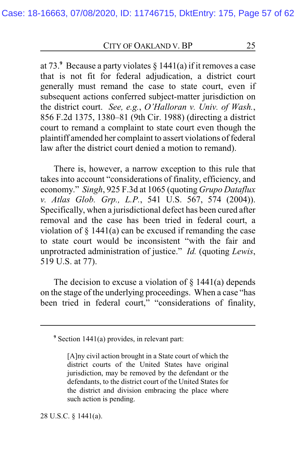at 73. **<sup>9</sup>** Because a party violates § 1441(a) if it removes a case that is not fit for federal adjudication, a district court generally must remand the case to state court, even if subsequent actions conferred subject-matter jurisdiction on the district court. *See, e.g.*, *O'Halloran v. Univ. of Wash.*, 856 F.2d 1375, 1380–81 (9th Cir. 1988) (directing a district court to remand a complaint to state court even though the plaintiff amended her complaint to assert violations of federal law after the district court denied a motion to remand).

There is, however, a narrow exception to this rule that takes into account "considerations of finality, efficiency, and economy." *Singh*, 925 F.3d at 1065 (quoting *Grupo Dataflux v. Atlas Glob. Grp., L.P.*, 541 U.S. 567, 574 (2004)). Specifically, when a jurisdictional defect has been cured after removal and the case has been tried in federal court, a violation of  $\S$  1441(a) can be excused if remanding the case to state court would be inconsistent "with the fair and unprotracted administration of justice." *Id.* (quoting *Lewis*, 519 U.S. at 77).

The decision to excuse a violation of  $\S$  1441(a) depends on the stage of the underlying proceedings. When a case "has been tried in federal court," "considerations of finality,

28 U.S.C. § 1441(a).

**<sup>9</sup>** Section 1441(a) provides, in relevant part:

<sup>[</sup>A]ny civil action brought in a State court of which the district courts of the United States have original jurisdiction, may be removed by the defendant or the defendants, to the district court of the United States for the district and division embracing the place where such action is pending.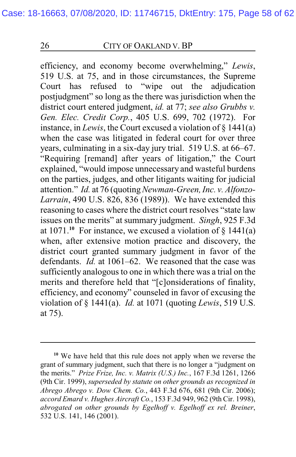efficiency, and economy become overwhelming," *Lewis*, 519 U.S. at 75, and in those circumstances, the Supreme Court has refused to "wipe out the adjudication postjudgment" so long as the there was jurisdiction when the district court entered judgment, *id.* at 77; *see also Grubbs v. Gen. Elec. Credit Corp.*, 405 U.S. 699, 702 (1972). For instance, in *Lewis*, the Court excused a violation of § 1441(a) when the case was litigated in federal court for over three years, culminating in a six-day jury trial. 519 U.S. at 66–67. "Requiring [remand] after years of litigation," the Court explained, "would impose unnecessary and wasteful burdens on the parties, judges, and other litigants waiting for judicial attention." *Id.* at 76 (quoting*Newman-Green, Inc. v. Alfonzo-Larrain*, 490 U.S. 826, 836 (1989)). We have extended this reasoning to cases where the district court resolves "state law issues on the merits" at summary judgment. *Singh*, 925 F.3d at  $1071$ .<sup>10</sup> For instance, we excused a violation of  $\S$  1441(a) when, after extensive motion practice and discovery, the district court granted summary judgment in favor of the defendants. *Id.* at 1061–62. We reasoned that the case was sufficiently analogous to one in which there was a trial on the merits and therefore held that "[c]onsiderations of finality, efficiency, and economy" counseled in favor of excusing the violation of § 1441(a). *Id.* at 1071 (quoting *Lewis*, 519 U.S. at 75).

**<sup>10</sup>** We have held that this rule does not apply when we reverse the grant of summary judgment, such that there is no longer a "judgment on the merits." *Prize Frize, Inc. v. Matrix (U.S.) Inc.*, 167 F.3d 1261, 1266 (9th Cir. 1999), *superseded by statute on other grounds as recognized in Abrego Abrego v. Dow Chem. Co.*, 443 F.3d 676, 681 (9th Cir. 2006); *accord Emard v. Hughes Aircraft Co.*, 153 F.3d 949, 962 (9th Cir. 1998), *abrogated on other grounds by Egelhoff v. Egelhoff ex rel. Breiner*, 532 U.S. 141, 146 (2001).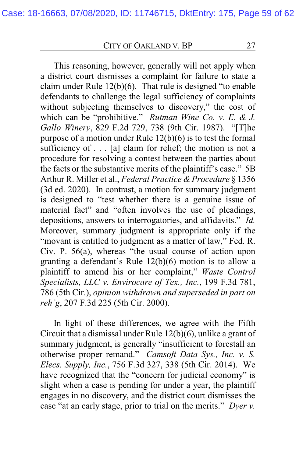This reasoning, however, generally will not apply when a district court dismisses a complaint for failure to state a claim under Rule 12(b)(6). That rule is designed "to enable defendants to challenge the legal sufficiency of complaints without subjecting themselves to discovery," the cost of which can be "prohibitive." *Rutman Wine Co. v. E. & J. Gallo Winery*, 829 F.2d 729, 738 (9th Cir. 1987). "[T]he purpose of a motion under Rule 12(b)(6) is to test the formal sufficiency of  $\dots$  [a] claim for relief; the motion is not a procedure for resolving a contest between the parties about the facts or the substantive merits of the plaintiff's case." 5B Arthur R. Miller et al., *Federal Practice & Procedure* § 1356 (3d ed. 2020). In contrast, a motion for summary judgment is designed to "test whether there is a genuine issue of material fact" and "often involves the use of pleadings, depositions, answers to interrogatories, and affidavits." *Id.* Moreover, summary judgment is appropriate only if the "movant is entitled to judgment as a matter of law," Fed. R. Civ. P. 56(a), whereas "the usual course of action upon granting a defendant's Rule 12(b)(6) motion is to allow a plaintiff to amend his or her complaint," *Waste Control Specialists, LLC v. Envirocare of Tex., Inc.*, 199 F.3d 781, 786 (5th Cir.), *opinion withdrawn and superseded in part on reh'g*, 207 F.3d 225 (5th Cir. 2000).

In light of these differences, we agree with the Fifth Circuit that a dismissal under Rule 12(b)(6), unlike a grant of summary judgment, is generally "insufficient to forestall an otherwise proper remand." *Camsoft Data Sys., Inc. v. S. Elecs. Supply, Inc.*, 756 F.3d 327, 338 (5th Cir. 2014). We have recognized that the "concern for judicial economy" is slight when a case is pending for under a year, the plaintiff engages in no discovery, and the district court dismisses the case "at an early stage, prior to trial on the merits." *Dyer v.*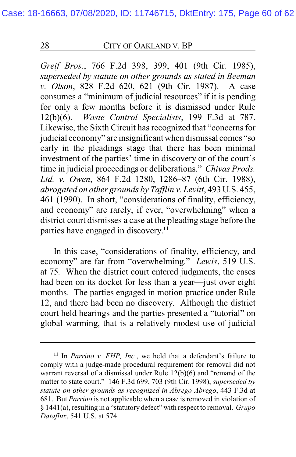*Greif Bros.*, 766 F.2d 398, 399, 401 (9th Cir. 1985), *superseded by statute on other grounds as stated in Beeman v. Olson*, 828 F.2d 620, 621 (9th Cir. 1987). A case consumes a "minimum of judicial resources" if it is pending for only a few months before it is dismissed under Rule 12(b)(6). *Waste Control Specialists*, 199 F.3d at 787. Likewise, the Sixth Circuit has recognized that "concerns for judicial economy" are insignificant when dismissal comes "so early in the pleadings stage that there has been minimal investment of the parties' time in discovery or of the court's time in judicial proceedings or deliberations." *Chivas Prods. Ltd. v. Owen*, 864 F.2d 1280, 1286–87 (6th Cir. 1988), *abrogated on other grounds by Tafflin v. Levitt*, 493 U.S. 455, 461 (1990). In short, "considerations of finality, efficiency, and economy" are rarely, if ever, "overwhelming" when a district court dismisses a case at the pleading stage before the parties have engaged in discovery. **11**

In this case, "considerations of finality, efficiency, and economy" are far from "overwhelming." *Lewis*, 519 U.S. at 75*.* When the district court entered judgments, the cases had been on its docket for less than a year—just over eight months. The parties engaged in motion practice under Rule 12, and there had been no discovery. Although the district court held hearings and the parties presented a "tutorial" on global warming, that is a relatively modest use of judicial

**<sup>11</sup>** In *Parrino v. FHP, Inc.*, we held that a defendant's failure to comply with a judge-made procedural requirement for removal did not warrant reversal of a dismissal under Rule 12(b)(6) and "remand of the matter to state court." 146 F.3d 699, 703 (9th Cir. 1998), *superseded by statute on other grounds as recognized in Abrego Abrego*, 443 F.3d at 681. But *Parrino* is not applicable when a case is removed in violation of § 1441(a), resulting in a "statutory defect" with respect to removal. *Grupo Dataflux*, 541 U.S. at 574.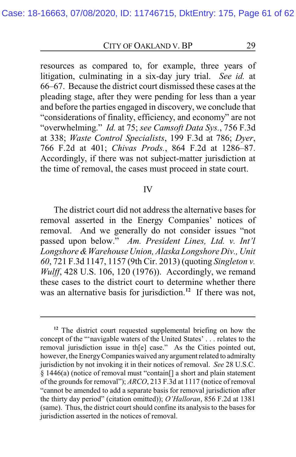resources as compared to, for example, three years of litigation, culminating in a six-day jury trial. *See id.* at 66–67. Because the district court dismissed these cases at the pleading stage, after they were pending for less than a year and before the parties engaged in discovery, we conclude that "considerations of finality, efficiency, and economy" are not "overwhelming." *Id.* at 75; *see Camsoft Data Sys.*, 756 F.3d at 338; *Waste Control Specialists*, 199 F.3d at 786; *Dyer*, 766 F.2d at 401; *Chivas Prods.*, 864 F.2d at 1286–87. Accordingly, if there was not subject-matter jurisdiction at the time of removal, the cases must proceed in state court.

#### IV

The district court did not address the alternative bases for removal asserted in the Energy Companies' notices of removal. And we generally do not consider issues "not passed upon below." *Am. President Lines, Ltd. v. Int'l Longshore &Warehouse Union, Alaska Longshore Div., Unit 60*, 721 F.3d 1147, 1157 (9th Cir. 2013) (quoting *Singleton v. Wulff*, 428 U.S. 106, 120 (1976)). Accordingly, we remand these cases to the district court to determine whether there was an alternative basis for jurisdiction.**<sup>12</sup>** If there was not,

**<sup>12</sup>** The district court requested supplemental briefing on how the concept of the "'navigable waters of the United States' . . . relates to the removal jurisdiction issue in th[e] case." As the Cities pointed out, however, the Energy Companies waived any argument related to admiralty jurisdiction by not invoking it in their notices of removal. *See* 28 U.S.C. § 1446(a) (notice of removal must "contain[] a short and plain statement of the grounds for removal"); *ARCO*, 213 F.3d at 1117 (notice of removal "cannot be amended to add a separate basis for removal jurisdiction after the thirty day period" (citation omitted)); *O'Halloran*, 856 F.2d at 1381 (same). Thus, the district court should confine its analysis to the bases for jurisdiction asserted in the notices of removal.